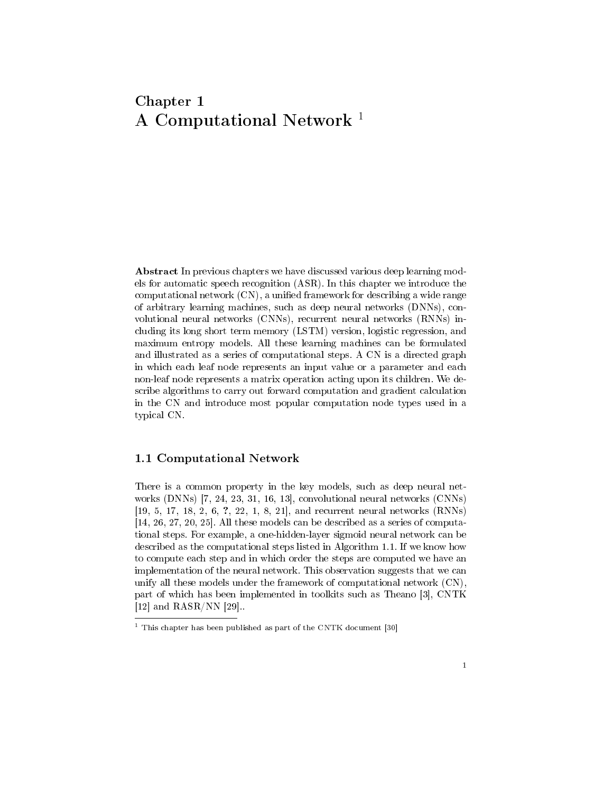# Chapter 1 A Computational Network<sup>1</sup>

Abstract In previous chapters we have discussed various deep learning models for automatic speech recognition (ASR). In this chapter we introduce the computational network (CN), a unified framework for describing a wide range of arbitrary learning machines, such as deep neural networks (DNNs), convolutional neural networks (CNNs), recurrent neural networks (RNNs) including its long short term memory (LSTM) version, logistic regression, and maximum entropy models. All these learning machines can be formulated and illustrated as a series of computational steps. A CN is a directed graph in which each leaf node represents an input value or a parameter and each non-leaf node represents a matrix operation acting upon its children. We describe algorithms to carry out forward computation and gradient calculation in the CN and introduce most popular computation node types used in a typical CN.

### 1.1 Computational Network

There is a common property in the key models, such as deep neural networks (DNNs) [7, 24, 23, 31, 16, 13], convolutional neural networks (CNNs) [19, 5, 17, 18, 2, 6, ?, 22, 1, 8, 21], and recurrent neural networks (RNNs) [14, 26, 27, 20, 25]. All these models can be described as a series of computational steps. For example, a one-hidden-layer sigmoid neural network can be described as the computational steps listed in Algorithm 1.1. If we know how to compute each step and in which order the steps are computed we have an implementation of the neural network. This observation suggests that we can unify all these models under the framework of computational network (CN), part of which has been implemented in toolkits such as Theano [3], CNTK [12] and RASR/NN [29]..

 $1$  This chapter has been published as part of the CNTK document [30]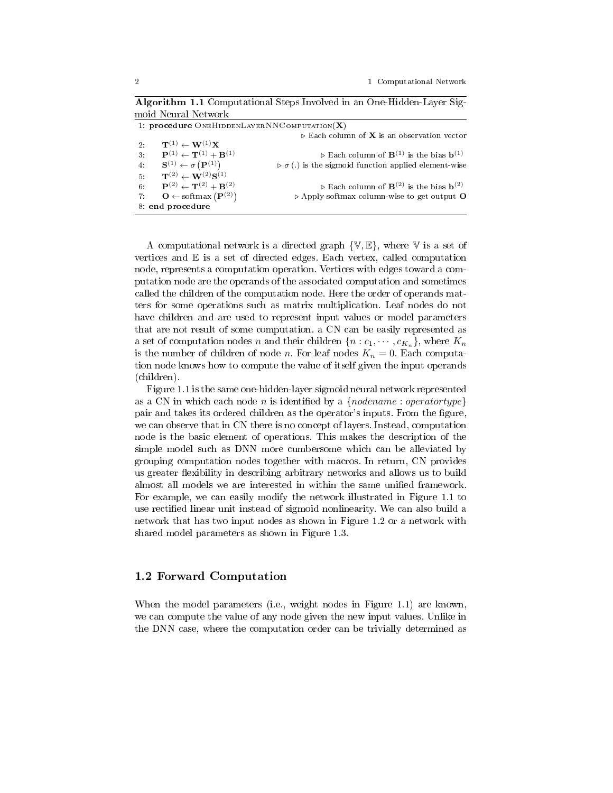|       | moid Neural Network                                                 |                                                                                   |
|-------|---------------------------------------------------------------------|-----------------------------------------------------------------------------------|
|       | 1: procedure ONEHIDDENLAYERNNCOMPUTATION(X)                         |                                                                                   |
|       |                                                                     | $\triangleright$ Each column of <b>X</b> is an observation vector                 |
| $2$ : | $\mathbf{T}^{(1)} \leftarrow \mathbf{W}^{(1)}\mathbf{X}$            |                                                                                   |
| $3 -$ | ${\bf P}^{(1)} \leftarrow {\bf T}^{(1)} + {\bf B}^{(1)}$            | $\triangleright$ Each column of $\mathbf{B}^{(1)}$ is the bias $\mathbf{b}^{(1)}$ |
| 4:    | $\mathbf{S}^{(1)} \leftarrow \sigma\left(\mathbf{P}^{(1)}\right)$   | $\triangleright \sigma(.)$ is the sigmoid function applied element-wise           |
| 5.    | ${\bf T}^{(2)}\leftarrow {\bf W}^{(2)}{\bf S}^{(1)}$                |                                                                                   |
| 6:    | ${\bf P}^{(2)} \leftarrow {\bf T}^{(2)} + {\bf B}^{(2)}$            | $\triangleright$ Each column of $\mathbf{B}^{(2)}$ is the bias $\mathbf{b}^{(2)}$ |
| 7:    | $\mathbf{O} \leftarrow \text{softmax}\left(\mathbf{P}^{(2)}\right)$ | $\triangleright$ Apply softmax column-wise to get output O                        |
|       | 8: end procedure                                                    |                                                                                   |

Algorithm 1.1 Computational Steps Involved in an One-Hidden-Layer Sig-

A computational network is a directed graph  $\{V, E\}$ , where V is a set of vertices and  $E$  is a set of directed edges. Each vertex, called computation node, represents a computation operation. Vertices with edges toward a computation node are the operands of the associated computation and sometimes called the children of the computation node. Here the order of operands matters for some operations such as matrix multiplication. Leaf nodes do not have children and are used to represent input values or model parameters that are not result of some computation. a CN can be easily represented as a set of computation nodes n and their children  $\{n : c_1, \cdots, c_{K_n}\}$ , where  $K_n$ is the number of children of node n. For leaf nodes  $K_n = 0$ . Each computation node knows how to compute the value of itself given the input operands (children).

Figure 1.1 is the same one-hidden-layer sigmoid neural network represented as a CN in which each node n is identified by a  ${nodename: operatortype}$ pair and takes its ordered children as the operator's inputs. From the figure, we can observe that in CN there is no concept of layers. Instead, computation node is the basic element of operations. This makes the description of the simple model such as DNN more cumbersome which can be alleviated by grouping computation nodes together with macros. In return, CN provides us greater flexibility in describing arbitrary networks and allows us to build almost all models we are interested in within the same unified framework. For example, we can easily modify the network illustrated in Figure 1.1 to use rectified linear unit instead of sigmoid nonlinearity. We can also build a network that has two input nodes as shown in Figure 1.2 or a network with shared model parameters as shown in Figure 1.3.

### 1.2 Forward Computation

When the model parameters (i.e., weight nodes in Figure 1.1) are known, we can compute the value of any node given the new input values. Unlike in the DNN case, where the computation order can be trivially determined as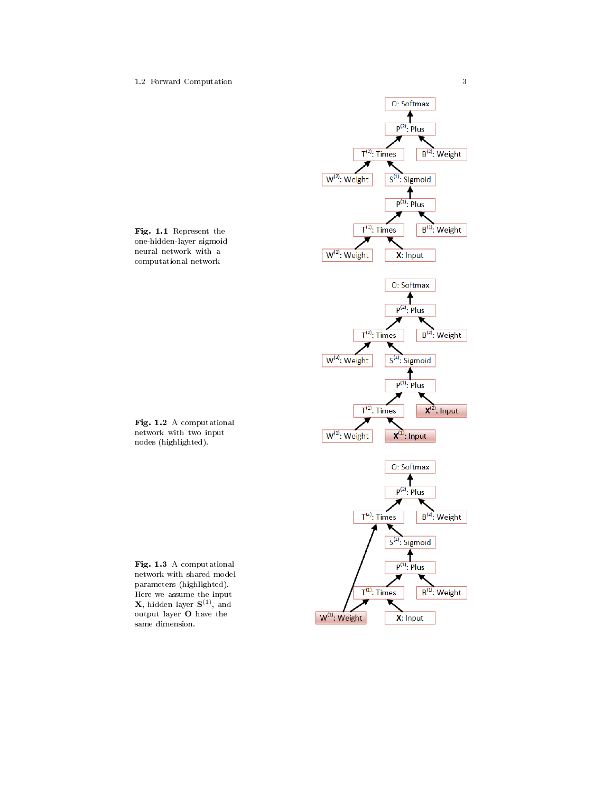#### 1.2 Forward Computation 3





Fig. 1.2 A computational network with two input nodes (highlighted).

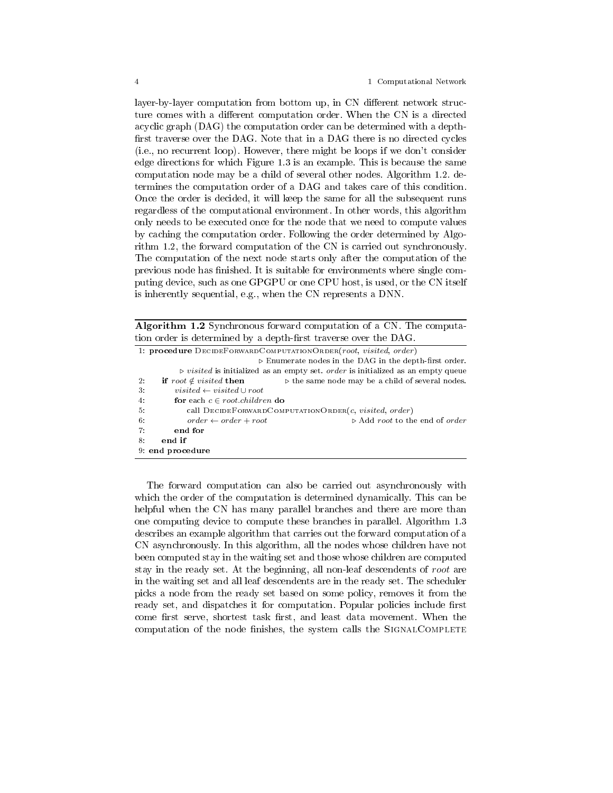layer-by-layer computation from bottom up, in CN different network structure comes with a different computation order. When the CN is a directed acyclic graph (DAG) the computation order can be determined with a depth first traverse over the DAG. Note that in a DAG there is no directed cycles (i.e., no recurrent loop). However, there might be loops if we don't consider edge directions for which Figure 1.3 is an example. This is because the same computation node may be a child of several other nodes. Algorithm 1.2. determines the computation order of a DAG and takes care of this condition. Once the order is decided, it will keep the same for all the subsequent runs regardless of the computational environment. In other words, this algorithm only needs to be executed once for the node that we need to compute values by caching the computation order. Following the order determined by Algorithm 1.2, the forward computation of the CN is carried out synchronously. The computation of the next node starts only after the computation of the previous node has finished. It is suitable for environments where single computing device, such as one GPGPU or one CPU host, is used, or the CN itself is inherently sequential, e.g., when the CN represents a DNN.

Algorithm 1.2 Synchronous forward computation of a CN. The computation order is determined by a depth-first traverse over the DAG.

| 1: procedure DECIDEFORWARDCOMPUTATIONORDER(root, visited, order) |                                                                                                 |  |  |  |
|------------------------------------------------------------------|-------------------------------------------------------------------------------------------------|--|--|--|
|                                                                  | $\triangleright$ Enumerate nodes in the DAG in the depth-first order.                           |  |  |  |
|                                                                  | $\triangleright$ visited is initialized as an empty set. order is initialized as an empty queue |  |  |  |
| if root $\notin visited$ then<br>2:                              | $\triangleright$ the same node may be a child of several nodes.                                 |  |  |  |
| visited $\leftarrow$ visited $\cup$ root<br>3.                   |                                                                                                 |  |  |  |
| for each $c \in root$ <i>children</i> do<br>4:                   |                                                                                                 |  |  |  |
| 5.                                                               | call $D$ ECIDEFORWARD COMPUTATION ORDER(c, visited, order)                                      |  |  |  |
| 6:<br>$order \leftarrow order + root$                            | $\triangleright$ Add root to the end of order                                                   |  |  |  |
| end for<br>7:                                                    |                                                                                                 |  |  |  |
| end if<br>8.                                                     |                                                                                                 |  |  |  |
| 9: end procedure                                                 |                                                                                                 |  |  |  |
|                                                                  |                                                                                                 |  |  |  |

The forward computation can also be carried out asynchronously with which the order of the computation is determined dynamically. This can be helpful when the CN has many parallel branches and there are more than one computing device to compute these branches in parallel. Algorithm 1.3 describes an example algorithm that carries out the forward computation of a CN asynchronously. In this algorithm, all the nodes whose children have not been computed stay in the waiting set and those whose children are computed stay in the ready set. At the beginning, all non-leaf descendents of root are in the waiting set and all leaf descendents are in the ready set. The scheduler picks a node from the ready set based on some policy, removes it from the ready set, and dispatches it for computation. Popular policies include first come first serve, shortest task first, and least data movement. When the computation of the node finishes, the system calls the SIGNALCOMPLETE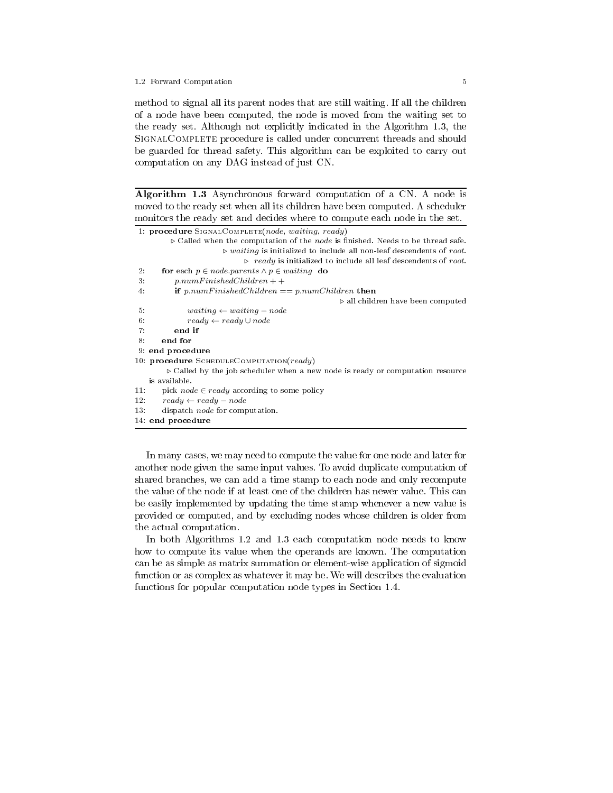#### 1.2 Forward Computation 5

method to signal all its parent nodes that are still waiting. If all the children of a node have been computed, the node is moved from the waiting set to the ready set. Although not explicitly indicated in the Algorithm 1.3, the SIGNALCOMPLETE procedure is called under concurrent threads and should be guarded for thread safety. This algorithm can be exploited to carry out computation on any DAG instead of just CN.

Algorithm 1.3 Asynchronous forward computation of a CN. A node is moved to the ready set when all its children have been computed. A scheduler monitors the ready set and decides where to compute each node in the set.

```
1: procedure SignalComplete(node, waiting, ready)
            \triangleright Called when the computation of the node is finished. Needs to be thread safe.
                               \triangleright waiting is initialized to include all non-leaf descendents of root.
                                      \triangleright ready is initialized to include all leaf descendents of root.
2: for each p \in node.parents \land p \in waiting do
3: p_number inside dChildren + +4: if p_number. if p_number. if p_number. if p_number. if p_number. if p_number. if p_number. if p_number. if p_number. if p_number. if p_number. if p_number. if p_number. if p_number. if p_number. if p_number. if p_number. if p_number. if p_number. if p_number. if p_number. if p_number. if p_number. if p_number. if
                                                                        \rho all children have been computed
5: waiting \leftarrow waiting – node
6: ready \leftarrow ready \cup node7: end if
8: end for
9: end procedure
10: procedure SCHEDULECOMPUTATION\left(\text{ready}\right)\triangleright Called by the job scheduler when a new node is ready or computation resource
    is available.
11: pick node \in ready according to some policy
12: ready \leftarrow ready - node13: dispatch node for computation.
14: end procedure
```
In many cases, we may need to compute the value for one node and later for another node given the same input values. To avoid duplicate computation of shared branches, we can add a time stamp to each node and only recompute the value of the node if at least one of the children has newer value. This can be easily implemented by updating the time stamp whenever a new value is provided or computed, and by excluding nodes whose children is older from the actual computation.

In both Algorithms 1.2 and 1.3 each computation node needs to know how to compute its value when the operands are known. The computation can be as simple as matrix summation or element-wise application of sigmoid function or as complex as whatever it may be. We will describes the evaluation functions for popular computation node types in Section 1.4.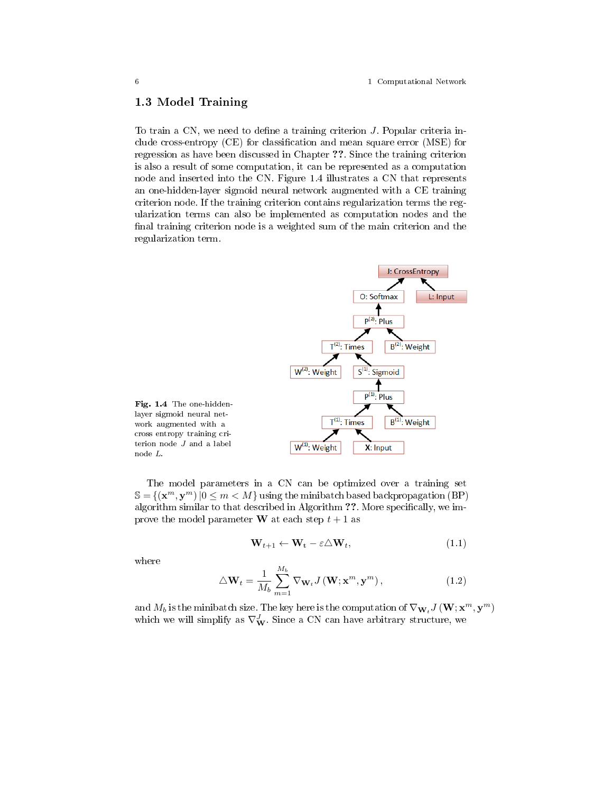### 1.3 Model Training

To train a CN, we need to define a training criterion  $J$ . Popular criteria include cross-entropy  $(CE)$  for classification and mean square error  $(MSE)$  for regression as have been discussed in Chapter ??. Since the training criterion is also a result of some computation, it can be represented as a computation node and inserted into the CN. Figure 1.4 illustrates a CN that represents an one-hidden-layer sigmoid neural network augmented with a CE training criterion node. If the training criterion contains regularization terms the regularization terms can also be implemented as computation nodes and the final training criterion node is a weighted sum of the main criterion and the regularization term.



The model parameters in a CN can be optimized over a training set  $\mathbb{S} = \{(\mathbf{x}^m, \mathbf{y}^m) | 0 \leq m < M\}$  using the minibatch based backpropagation (BP) algorithm similar to that described in Algorithm ??. More specifically, we improve the model parameter **W** at each step  $t + 1$  as

$$
\mathbf{W}_{t+1} \leftarrow \mathbf{W}_t - \varepsilon \Delta \mathbf{W}_t, \tag{(1.1)}
$$

where

$$
\triangle \mathbf{W}_t = \frac{1}{M_b} \sum_{m=1}^{M_b} \nabla_{\mathbf{W}_t} J\left(\mathbf{W}; \mathbf{x}^m, \mathbf{y}^m\right),\tag{1.2}
$$

and  $M_b$  is the minibatch size. The key here is the computation of  $\nabla_{\mathbf{W}_t} J\left(\mathbf{W};\mathbf{x}^m,\mathbf{y}^m\right)$ which we will simplify as  $\nabla_{\mathbf{W}}^J$ . Since a CN can have arbitrary structure, we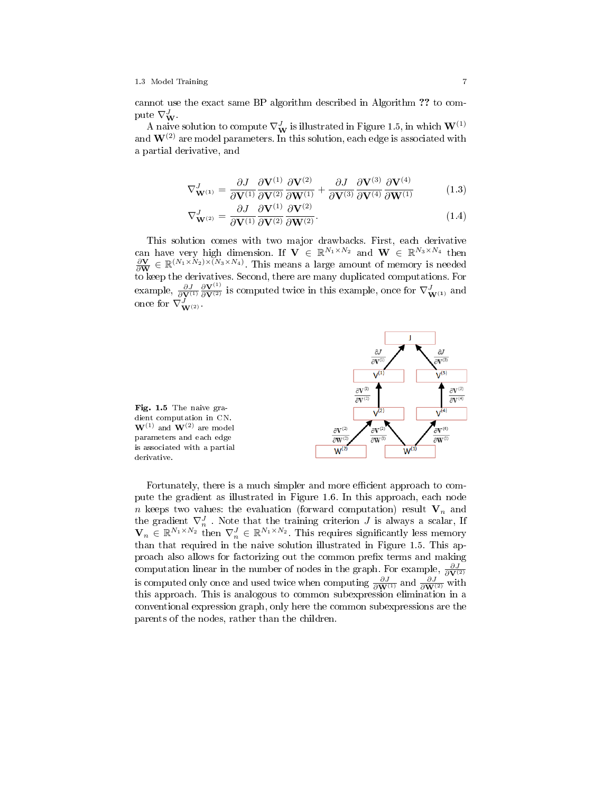#### 1.3 Model Training 7

cannot use the exact same BP algorithm described in Algorithm ?? to compute  $\nabla^J_{\mathbf{W}}$ .

A naive solution to compute  $\nabla^J_\mathbf{W}$  is illustrated in Figure 1.5, in which  $\mathbf{W}^{(1)}$ and  $W^{(2)}$  are model parameters. In this solution, each edge is associated with a partial derivative, and

$$
\nabla_{\mathbf{W}^{(1)}}^{J} = \frac{\partial J}{\partial \mathbf{V}^{(1)}} \frac{\partial \mathbf{V}^{(1)}}{\partial \mathbf{V}^{(2)}} \frac{\partial \mathbf{V}^{(2)}}{\partial \mathbf{W}^{(1)}} + \frac{\partial J}{\partial \mathbf{V}^{(3)}} \frac{\partial \mathbf{V}^{(3)}}{\partial \mathbf{V}^{(4)}} \frac{\partial \mathbf{V}^{(4)}}{\partial \mathbf{W}^{(1)}} \tag{1.3}
$$

$$
\nabla_{\mathbf{W}^{(2)}}^J = \frac{\partial J}{\partial \mathbf{V}^{(1)}} \frac{\partial \mathbf{V}^{(1)}}{\partial \mathbf{V}^{(2)}} \frac{\partial \mathbf{V}^{(2)}}{\partial \mathbf{W}^{(2)}}.
$$
(1.4)

This solution comes with two major drawbacks. First, each derivative can have very high dimension. If  $\mathbf{V} \in \mathbb{R}^{N_1 \times N_2}$  and  $\mathbf{W} \in \mathbb{R}^{N_3 \times N_4}$  then  $\frac{\partial \mathbf{V}}{\partial \mathbf{W}} \in \mathbb{R}^{(N_1 \times N_2) \times (N_3 \times N_4)}$ . This means a large amount of memory is needed to keep the derivatives. Second, there are many duplicated computations. For example,  $\frac{\partial J}{\partial \mathbf{V}^{(1)}} \frac{\partial \mathbf{V}^{(1)}}{\partial \mathbf{V}^{(2)}}$  is computed twice in this example, once for  $\nabla^J_{\mathbf{W}^{(1)}}$  and once for  $\nabla^J_{\mathbf{W}^{(2)}}$ .





Fortunately, there is a much simpler and more efficient approach to compute the gradient as illustrated in Figure 1.6. In this approach, each node n keeps two values: the evaluation (forward computation) result  $V_n$  and the gradient  $\nabla_n^J$ . Note that the training criterion  $J$  is always a scalar, If  $\mathbf{V}_n \in \mathbb{R}^{N_1 \times N_2}$  then  $\nabla_n^J \in \mathbb{R}^{N_1 \times N_2}$ . This requires significantly less memory than that required in the naive solution illustrated in Figure 1.5. This approach also allows for factorizing out the common prefix terms and making computation linear in the number of nodes in the graph. For example,  $\frac{\partial J}{\partial \mathbf{V}^{(2)}}$  is computed only once and used twice when computing  $\frac{\partial J}{\partial \mathbf{W}^{(1)}}$  and  $\frac{\partial J}{\partial \mathbf{W}^{(2)}}$  with this approach. This is analogous to common subexpression elimination in a conventional expression graph, only here the common subexpressions are the parents of the nodes, rather than the children.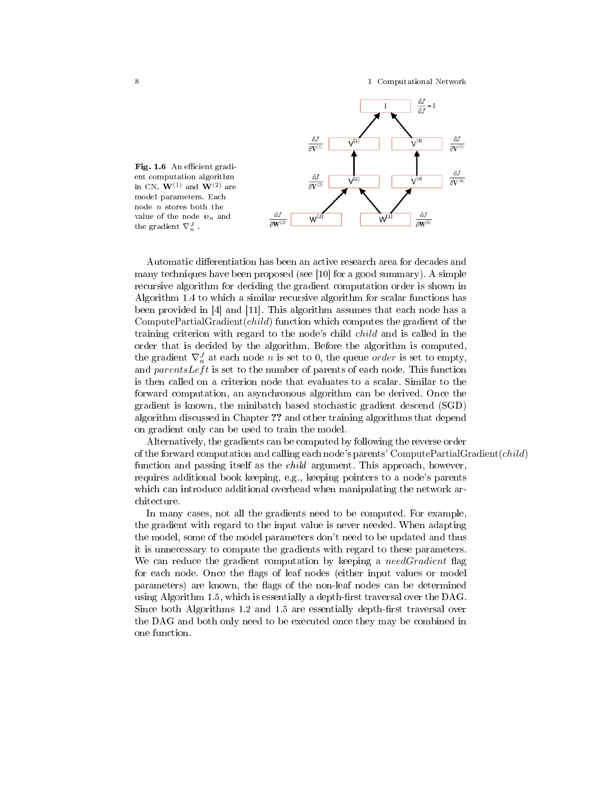

Fig. 1.6 An efficient gradient computation algorithm in CN.  $\mathbf{W}^{(1)}$  and  $\mathbf{W}^{(2)}$  are model parameters. Each node n stores both the value of the node  $\boldsymbol{v}_n$  and the gradient  $\nabla_n^J$ .

Automatic differentiation has been an active research area for decades and many techniques have been proposed (see [10] for a good summary). A simple recursive algorithm for deciding the gradient computation order is shown in Algorithm 1.4 to which a similar recursive algorithm for scalar functions has been provided in [4] and [11]. This algorithm assumes that each node has a ComputePartialGradient(child) function which computes the gradient of the training criterion with regard to the node's child child and is called in the order that is decided by the algorithm. Before the algorithm is computed, the gradient  $\nabla_n^J$  at each node n is set to 0, the queue *order* is set to empty, and parents Left is set to the number of parents of each node. This function is then called on a criterion node that evaluates to a scalar. Similar to the forward computation, an asynchronous algorithm can be derived. Once the gradient is known, the minibatch based stochastic gradient descend (SGD) algorithm discussed in Chapter ?? and other training algorithms that depend on gradient only can be used to train the model.

Alternatively, the gradients can be computed by following the reverse order of the forward computation and calling each node's parents' ComputePartialGradient( $child$ ) function and passing itself as the *child* argument. This approach, however, requires additional book keeping, e.g., keeping pointers to a node's parents which can introduce additional overhead when manipulating the network architecture.

In many cases, not all the gradients need to be computed. For example, the gradient with regard to the input value is never needed. When adapting the model, some of the model parameters don't need to be updated and thus it is unnecessary to compute the gradients with regard to these parameters. We can reduce the gradient computation by keeping a  $needGradient$  flag for each node. Once the flags of leaf nodes (either input values or model parameters) are known, the flags of the non-leaf nodes can be determined using Algorithm 1.5, which is essentially a depth-first traversal over the DAG. Since both Algorithms 1.2 and 1.5 are essentially depth-first traversal over the DAG and both only need to be executed once they may be combined in one function.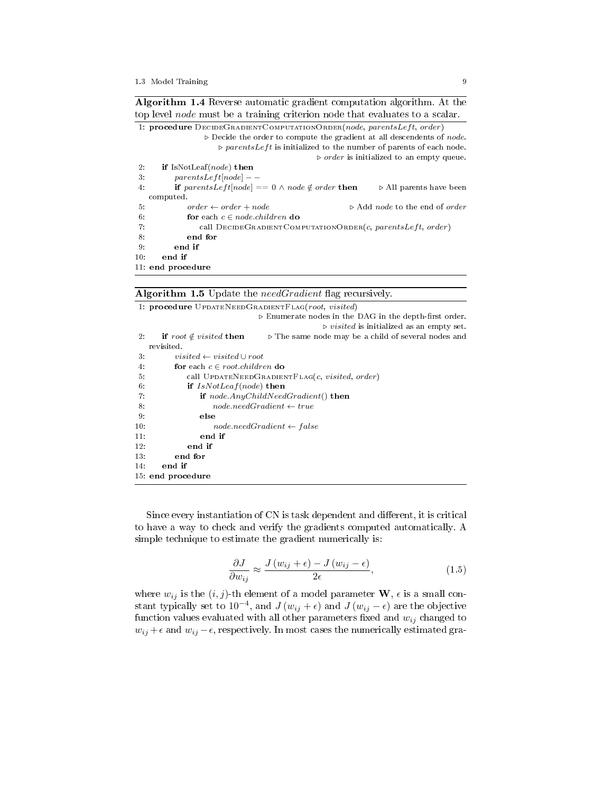Algorithm 1.4 Reverse automatic gradient computation algorithm. At the top level node must be a training criterion node that evaluates to a scalar. 1: procedure  $DEG$ RADIENTCOMPUTATIONORDER(node, parentsLeft, order)

|     | 11 end procedure                                                                                           |                                                                 |
|-----|------------------------------------------------------------------------------------------------------------|-----------------------------------------------------------------|
| 10: | end if                                                                                                     |                                                                 |
| 9:  | end if                                                                                                     |                                                                 |
| 8.  | end for                                                                                                    |                                                                 |
| 7:  | call $DECIBGRADIENTCOMPUTATIONORDER(c, parentsLeft, order)$                                                |                                                                 |
| 6:  | for each $c \in node$ <i>children</i> do                                                                   |                                                                 |
| 5.  | $order \leftarrow order + node$                                                                            | $\triangleright$ Add <i>node</i> to the end of <i>order</i>     |
|     | computed.                                                                                                  |                                                                 |
| 4:  | <b>if</b> parents Left [node] = $\theta \wedge$ node $\notin$ order then                                   | $\triangleright$ All parents have been                          |
| 3.  | $parentsLeft[node] - -$                                                                                    |                                                                 |
| 2:  | if IsNotLeaf( $node$ ) then                                                                                |                                                                 |
|     |                                                                                                            | $\triangleright$ <i>order</i> is initialized to an empty queue. |
|     | $\triangleright$ parents Left is initialized to the number of parents of each node.                        |                                                                 |
|     | $\triangleright$ Decide the order to compute the gradient at all descendents of node.                      |                                                                 |
|     | 1. <b>Procedure</b> Decide GRADIENT COMPUTATION ORDER ( <i>houe</i> , <i>parents Deft</i> , <i>order</i> ) |                                                                 |

### Algorithm 1.5 Update the *needGradient* flag recursively.

|       | 1. procedure UPDATENEEDGRADIENTFLAG(root, visited)                                                  |
|-------|-----------------------------------------------------------------------------------------------------|
|       | $\triangleright$ Enumerate nodes in the DAG in the depth-first order.                               |
|       | $\triangleright \textit{visited}$ is initialized as an empty set.                                   |
| $2$ . | if root $\notin visited$ then<br>$\triangleright$ The same node may be a child of several nodes and |
|       | revisited.                                                                                          |
| 3.    | $visited \leftarrow visited \cup root$                                                              |
| 4:    | for each $c \in root$ .children do                                                                  |
| 5.    | call UPDATENEED GRADIENT FLAG( $c$ , visited, order)                                                |
| 6.    | if $IsNotLeaf(node)$ then                                                                           |
| 7:    | if $node. AnyChildNeedGradient()$ then                                                              |
| 8:    | $node, needGradient \leftarrow true$                                                                |
| 9.    | else                                                                                                |
| 10:   | $node. needGradient \leftarrow false$                                                               |
| 11:   | end if                                                                                              |
| 12:   | end if                                                                                              |
| 13:   | end for                                                                                             |
| 14:   | end if                                                                                              |
|       | 15: end procedure                                                                                   |

Since every instantiation of CN is task dependent and different, it is critical to have a way to check and verify the gradients computed automatically. A simple technique to estimate the gradient numerically is:

$$
\frac{\partial J}{\partial w_{ij}} \approx \frac{J(w_{ij} + \epsilon) - J(w_{ij} - \epsilon)}{2\epsilon},\tag{1.5}
$$

where  $w_{ij}$  is the  $(i, j)$ -th element of a model parameter  $\mathbf{W}, \epsilon$  is a small constant typically set to 10<sup>-4</sup>, and  $J(w_{ij} + \epsilon)$  and  $J(w_{ij} - \epsilon)$  are the objective function values evaluated with all other parameters fixed and  $w_{ij}$  changed to  $w_{ij} + \epsilon$  and  $w_{ij} - \epsilon$ , respectively. In most cases the numerically estimated gra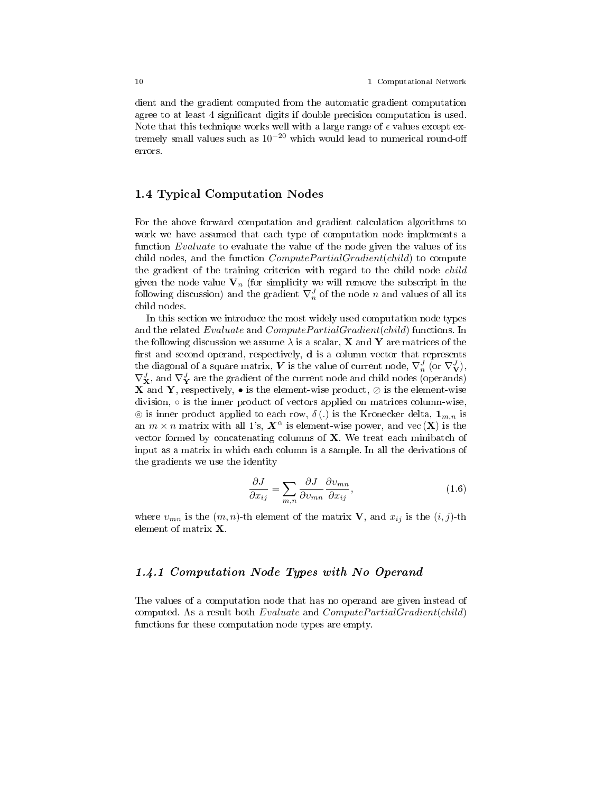dient and the gradient computed from the automatic gradient computation agree to at least 4 significant digits if double precision computation is used. Note that this technique works well with a large range of  $\epsilon$  values except extremely small values such as  $10^{-20}$  which would lead to numerical round-off errors.

### 1.4 Typical Computation Nodes

For the above forward computation and gradient calculation algorithms to work we have assumed that each type of computation node implements a function Evaluate to evaluate the value of the node given the values of its child nodes, and the function  $ComputePartialGradient (child)$  to compute the gradient of the training criterion with regard to the child node *child* given the node value  $V_n$  (for simplicity we will remove the subscript in the following discussion) and the gradient  $\nabla_n^J$  of the node n and values of all its child nodes.

In this section we introduce the most widely used computation node types and the related Evaluate and ComputePartialGradient(child) functions. In the following discussion we assume  $\lambda$  is a scalar, **X** and **Y** are matrices of the first and second operand, respectively,  $\mathbf d$  is a column vector that represents the diagonal of a square matrix,  $V$  is the value of current node,  $\nabla_n^J$  (or  $\nabla_{\bf V}^J),$  $\nabla^{J}_{\mathbf{X}},$  and  $\nabla^{J}_{\mathbf{Y}}$  are the gradient of the current node and child nodes (operands) **X** and **Y**, respectively,  $\bullet$  is the element-wise product,  $\oslash$  is the element-wise division, ○ is the inner product of vectors applied on matrices column-wise,  $\circledcirc$  is inner product applied to each row,  $\delta(.)$  is the Kronecker delta,  $\mathbf{1}_{m,n}$  is an  $m \times n$  matrix with all 1's,  $X^{\alpha}$  is element-wise power, and vec  $(X)$  is the vector formed by concatenating columns of X. We treat each minibatch of input as a matrix in which each column is a sample. In all the derivations of the gradients we use the identity

$$
\frac{\partial J}{\partial x_{ij}} = \sum_{m,n} \frac{\partial J}{\partial v_{mn}} \frac{\partial v_{mn}}{\partial x_{ij}},\tag{1.6}
$$

where  $v_{mn}$  is the  $(m, n)$ -th element of the matrix **V**, and  $x_{ij}$  is the  $(i, j)$ -th element of matrix X.

### 1.4.1 Computation Node Types with No Operand

The values of a computation node that has no operand are given instead of computed. As a result both  $Evaluate$  and  $ComputePartialGradient(child)$ functions for these computation node types are empty.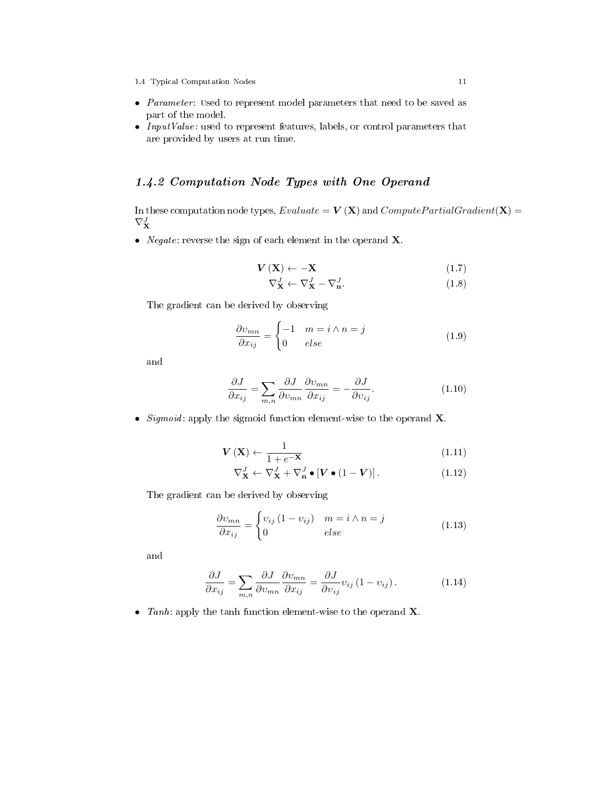- Parameter: used to represent model parameters that need to be saved as part of the model.
- Input Value: used to represent features, labels, or control parameters that are provided by users at run time.

## 1.4.2 Computation Node Types with One Operand

In these computation node types,  $Evaluate = V(X)$  and  $ComputePartialGradient(X) =$  $\nabla^J_{\mathbf{X}}$ 

• *Negate:* reverse the sign of each element in the operand  $X$ .

$$
\mathbf{V}(\mathbf{X}) \leftarrow -\mathbf{X} \tag{1.7}
$$
\n
$$
\nabla_{\mathbf{X}}^J \leftarrow \nabla_{\mathbf{X}}^J - \nabla_{\mathbf{n}}^J. \tag{1.8}
$$

The gradient can be derived by observing

$$
\frac{\partial v_{mn}}{\partial x_{ij}} = \begin{cases} -1 & m = i \wedge n = j \\ 0 & else \end{cases}
$$
 (1.9)

and

$$
\frac{\partial J}{\partial x_{ij}} = \sum_{m,n} \frac{\partial J}{\partial v_{mn}} \frac{\partial v_{mn}}{\partial x_{ij}} = -\frac{\partial J}{\partial v_{ij}}.
$$
 (1.10)

• Sigmoid: apply the sigmoid function element-wise to the operand  $X$ .

$$
\mathbf{V}\left(\mathbf{X}\right) \leftarrow \frac{1}{1 + e^{-\mathbf{X}}}\tag{1.11}
$$

$$
\nabla_{\mathbf{X}}^J \leftarrow \nabla_{\mathbf{X}}^J + \nabla_{\mathbf{n}}^J \bullet [\mathbf{V} \bullet (1 - \mathbf{V})]. \tag{1.12}
$$

The gradient can be derived by observing

$$
\frac{\partial v_{mn}}{\partial x_{ij}} = \begin{cases} v_{ij} (1 - v_{ij}) & m = i \wedge n = j \\ 0 & else \end{cases}
$$
(1.13)

and

$$
\frac{\partial J}{\partial x_{ij}} = \sum_{m,n} \frac{\partial J}{\partial v_{mn}} \frac{\partial v_{mn}}{\partial x_{ij}} = \frac{\partial J}{\partial v_{ij}} v_{ij} (1 - v_{ij}). \tag{1.14}
$$

• Tanh: apply the tanh function element-wise to the operand  $X$ .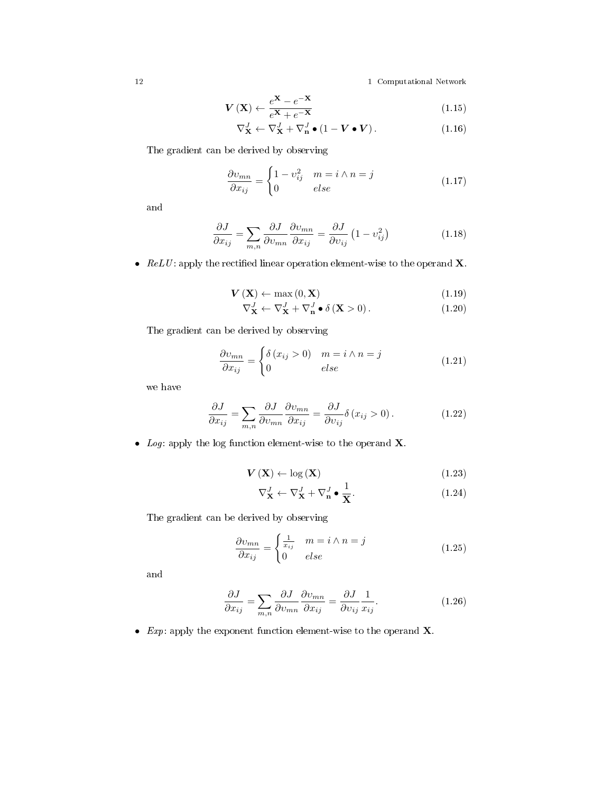$$
\mathbf{V}\left(\mathbf{X}\right) \leftarrow \frac{e^{\mathbf{X}} - e^{-\mathbf{X}}}{e^{\mathbf{X}} + e^{-\mathbf{X}}}
$$
\n(1.15)

$$
\nabla_{\mathbf{X}}^{J} \leftarrow \nabla_{\mathbf{X}}^{J} + \nabla_{\mathbf{n}}^{J} \bullet (1 - \boldsymbol{V} \bullet \boldsymbol{V}). \tag{1.16}
$$

The gradient can be derived by observing

$$
\frac{\partial v_{mn}}{\partial x_{ij}} = \begin{cases} 1 - v_{ij}^2 & m = i \wedge n = j \\ 0 & else \end{cases}
$$
 (1.17)

and

$$
\frac{\partial J}{\partial x_{ij}} = \sum_{m,n} \frac{\partial J}{\partial v_{mn}} \frac{\partial v_{mn}}{\partial x_{ij}} = \frac{\partial J}{\partial v_{ij}} \left( 1 - v_{ij}^2 \right)
$$
(1.18)

•  $ReLU:$  apply the rectified linear operation element-wise to the operand **X**.

$$
\mathbf{V}\left(\mathbf{X}\right) \leftarrow \max\left(0, \mathbf{X}\right) \tag{1.19}
$$

$$
\nabla_{\mathbf{X}}^{J} \leftarrow \nabla_{\mathbf{X}}^{J} + \nabla_{\mathbf{n}}^{J} \bullet \delta\left(\mathbf{X} > 0\right). \tag{1.20}
$$

The gradient can be derived by observing

$$
\frac{\partial v_{mn}}{\partial x_{ij}} = \begin{cases} \delta(x_{ij} > 0) & m = i \wedge n = j \\ 0 & else \end{cases}
$$
 (1.21)

we have

$$
\frac{\partial J}{\partial x_{ij}} = \sum_{m,n} \frac{\partial J}{\partial v_{mn}} \frac{\partial v_{mn}}{\partial x_{ij}} = \frac{\partial J}{\partial v_{ij}} \delta (x_{ij} > 0).
$$
 (1.22)

• Log: apply the log function element-wise to the operand  $X$ .

$$
\mathbf{V}\left(\mathbf{X}\right) \leftarrow \log\left(\mathbf{X}\right) \tag{1.23}
$$

$$
\nabla_{\mathbf{X}}^{J} \leftarrow \nabla_{\mathbf{X}}^{J} + \nabla_{\mathbf{n}}^{J} \bullet \frac{1}{\mathbf{X}}.
$$
\n(1.24)

The gradient can be derived by observing

$$
\frac{\partial v_{mn}}{\partial x_{ij}} = \begin{cases} \frac{1}{x_{ij}} & m = i \wedge n = j \\ 0 & else \end{cases}
$$
 (1.25)

and

$$
\frac{\partial J}{\partial x_{ij}} = \sum_{m,n} \frac{\partial J}{\partial v_{mn}} \frac{\partial v_{mn}}{\partial x_{ij}} = \frac{\partial J}{\partial v_{ij}} \frac{1}{x_{ij}}.
$$
 (1.26)

• Exp: apply the exponent function element-wise to the operand  $X$ .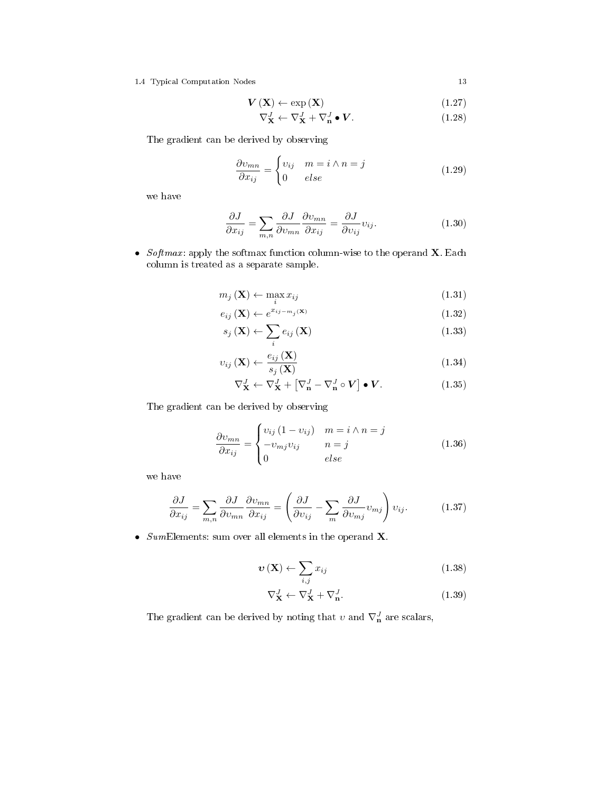1.4 Typical Computation Nodes 13

$$
\mathbf{V}\left(\mathbf{X}\right) \leftarrow \exp\left(\mathbf{X}\right) \tag{1.27}
$$

$$
\nabla_{\mathbf{X}}^J \leftarrow \nabla_{\mathbf{X}}^J + \nabla_{\mathbf{n}}^J \bullet \mathbf{V}.
$$
 (1.28)

The gradient can be derived by observing

$$
\frac{\partial v_{mn}}{\partial x_{ij}} = \begin{cases} v_{ij} & m = i \wedge n = j \\ 0 & else \end{cases}
$$
 (1.29)

we have

$$
\frac{\partial J}{\partial x_{ij}} = \sum_{m,n} \frac{\partial J}{\partial v_{mn}} \frac{\partial v_{mn}}{\partial x_{ij}} = \frac{\partial J}{\partial v_{ij}} v_{ij}.
$$
 (1.30)

• Softmax: apply the softmax function column-wise to the operand  $X$ . Each column is treated as a separate sample.

$$
m_j\left(\mathbf{X}\right) \leftarrow \max_i x_{ij} \tag{1.31}
$$

$$
e_{ij}(\mathbf{X}) \leftarrow e^{x_{ij-m_j}(\mathbf{X})} \tag{1.32}
$$

$$
s_j\left(\mathbf{X}\right) \leftarrow \sum_i e_{ij}\left(\mathbf{X}\right) \tag{1.33}
$$

$$
v_{ij}(\mathbf{X}) \leftarrow \frac{e_{ij}(\mathbf{X})}{s_j(\mathbf{X})}
$$
\n(1.34)

$$
\nabla_{\mathbf{X}}^J \leftarrow \nabla_{\mathbf{X}}^J + \left[ \nabla_{\mathbf{n}}^J - \nabla_{\mathbf{n}}^J \circ \mathbf{V} \right] \bullet \mathbf{V}.
$$
 (1.35)

The gradient can be derived by observing

$$
\frac{\partial v_{mn}}{\partial x_{ij}} = \begin{cases} v_{ij} (1 - v_{ij}) & m = i \wedge n = j \\ -v_{mj} v_{ij} & n = j \\ 0 & else \end{cases}
$$
(1.36)

we have

$$
\frac{\partial J}{\partial x_{ij}} = \sum_{m,n} \frac{\partial J}{\partial v_{mn}} \frac{\partial v_{mn}}{\partial x_{ij}} = \left( \frac{\partial J}{\partial v_{ij}} - \sum_m \frac{\partial J}{\partial v_{mj}} v_{mj} \right) v_{ij}.
$$
 (1.37)

• SumElements: sum over all elements in the operand  $X$ .

$$
\boldsymbol{v}\left(\mathbf{X}\right) \leftarrow \sum_{i,j} x_{ij} \tag{1.38}
$$

$$
\nabla_{\mathbf{X}}^J \leftarrow \nabla_{\mathbf{X}}^J + \nabla_{\mathbf{n}}^J. \tag{1.39}
$$

The gradient can be derived by noting that  $v$  and  $\nabla^J_{\mathbf{n}}$  are scalars,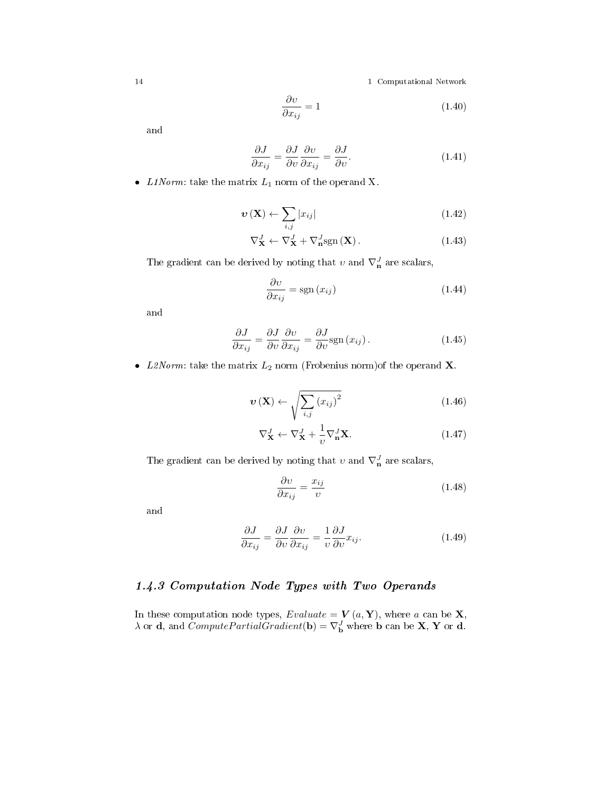$$
\frac{\partial v}{\partial x_{ij}} = 1\tag{1.40}
$$

and

$$
\frac{\partial J}{\partial x_{ij}} = \frac{\partial J}{\partial v} \frac{\partial v}{\partial x_{ij}} = \frac{\partial J}{\partial v}.
$$
 (1.41)

• *L1Norm*: take the matrix  $L_1$  norm of the operand X.

$$
\boldsymbol{v}\left(\mathbf{X}\right) \leftarrow \sum_{i,j} |x_{ij}| \tag{1.42}
$$

$$
\nabla_{\mathbf{X}}^{J} \leftarrow \nabla_{\mathbf{X}}^{J} + \nabla_{\mathbf{n}}^{J} \text{sgn}(\mathbf{X}). \tag{1.43}
$$

The gradient can be derived by noting that  $v$  and  $\nabla_{\mathbf{n}}^J$  are scalars,

$$
\frac{\partial v}{\partial x_{ij}} = \text{sgn}(x_{ij})\tag{1.44}
$$

and

$$
\frac{\partial J}{\partial x_{ij}} = \frac{\partial J}{\partial v} \frac{\partial v}{\partial x_{ij}} = \frac{\partial J}{\partial v} \text{sgn}(x_{ij}).
$$
\n(1.45)

• L2Norm: take the matrix  $L_2$  norm (Frobenius norm)<br>of the operand  $\mathbf X$ .

$$
\boldsymbol{v}\left(\mathbf{X}\right) \leftarrow \sqrt{\sum_{i,j} \left(x_{ij}\right)^2} \tag{1.46}
$$

$$
\nabla_{\mathbf{X}}^J \leftarrow \nabla_{\mathbf{X}}^J + \frac{1}{v} \nabla_{\mathbf{n}}^J \mathbf{X}.
$$
\n(1.47)

The gradient can be derived by noting that  $v$  and  $\nabla_{\mathbf{n}}^J$  are scalars,

$$
\frac{\partial v}{\partial x_{ij}} = \frac{x_{ij}}{v} \tag{1.48}
$$

and

$$
\frac{\partial J}{\partial x_{ij}} = \frac{\partial J}{\partial v} \frac{\partial v}{\partial x_{ij}} = \frac{1}{v} \frac{\partial J}{\partial v} x_{ij}.
$$
 (1.49)

## 1.4.3 Computation Node Types with Two Operands

In these computation node types,  $Evaluate = V(a, Y)$ , where a can be **X**,  $\lambda$  or **d**, and *ComputePartialGradient*(**b**) =  $\nabla_{\mathbf{b}}^J$  where **b** can be **X**, **Y** or **d**.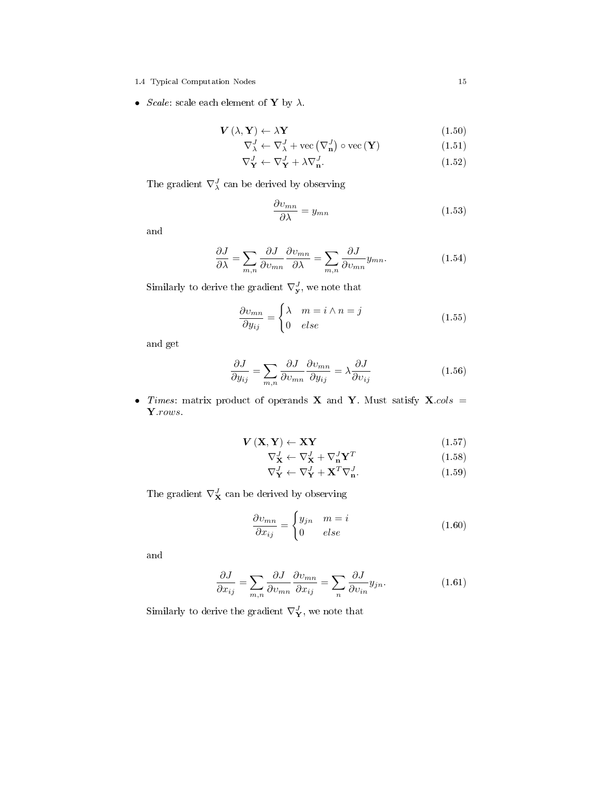- 1.4 Typical Computation Nodes 15
- *Scale*: scale each element of **Y** by  $\lambda$ .

$$
\mathbf{V}\left(\lambda,\mathbf{Y}\right)\leftarrow\lambda\mathbf{Y}\tag{1.50}
$$

$$
\nabla_{\lambda}^{J} \leftarrow \nabla_{\lambda}^{J} + \text{vec}\left(\nabla_{\mathbf{n}}^{J}\right) \circ \text{vec}\left(\mathbf{Y}\right) \tag{1.51}
$$

$$
\nabla_{\mathbf{Y}}^J \leftarrow \nabla_{\mathbf{Y}}^J + \lambda \nabla_{\mathbf{n}}^J. \tag{1.52}
$$

The gradient  $\nabla^J_\lambda$  can be derived by observing

$$
\frac{\partial v_{mn}}{\partial \lambda} = y_{mn} \tag{1.53}
$$

and

$$
\frac{\partial J}{\partial \lambda} = \sum_{m,n} \frac{\partial J}{\partial v_{mn}} \frac{\partial v_{mn}}{\partial \lambda} = \sum_{m,n} \frac{\partial J}{\partial v_{mn}} y_{mn}.
$$
 (1.54)

Similarly to derive the gradient  $\nabla^J_{\mathbf{y}}$ , we note that

$$
\frac{\partial v_{mn}}{\partial y_{ij}} = \begin{cases} \lambda & m = i \wedge n = j \\ 0 & else \end{cases}
$$
 (1.55)

and get

$$
\frac{\partial J}{\partial y_{ij}} = \sum_{m,n} \frac{\partial J}{\partial v_{mn}} \frac{\partial v_{mn}}{\partial y_{ij}} = \lambda \frac{\partial J}{\partial v_{ij}}
$$
(1.56)

• Times: matrix product of operands X and Y. Must satisfy  $X \text{.} \text{cols}$  = Y.rows.

$$
\mathbf{V}\left(\mathbf{X}, \mathbf{Y}\right) \leftarrow \mathbf{X}\mathbf{Y} \tag{1.57}
$$

$$
\nabla_{\mathbf{X}}^J \leftarrow \nabla_{\mathbf{X}}^J + \nabla_{\mathbf{n}}^J \mathbf{Y}^T
$$
\n(1.58)

$$
\nabla_{\mathbf{Y}}^J \leftarrow \nabla_{\mathbf{Y}}^J + \mathbf{X}^T \nabla_{\mathbf{n}}^J. \tag{1.59}
$$

The gradient  $\nabla^J_{\mathbf{X}}$  can be derived by observing

$$
\frac{\partial v_{mn}}{\partial x_{ij}} = \begin{cases} y_{jn} & m = i \\ 0 & else \end{cases} \tag{1.60}
$$

and

$$
\frac{\partial J}{\partial x_{ij}} = \sum_{m,n} \frac{\partial J}{\partial v_{mn}} \frac{\partial v_{mn}}{\partial x_{ij}} = \sum_{n} \frac{\partial J}{\partial v_{in}} y_{jn}.
$$
 (1.61)

Similarly to derive the gradient  $\nabla^J_{\mathbf{Y}}$ , we note that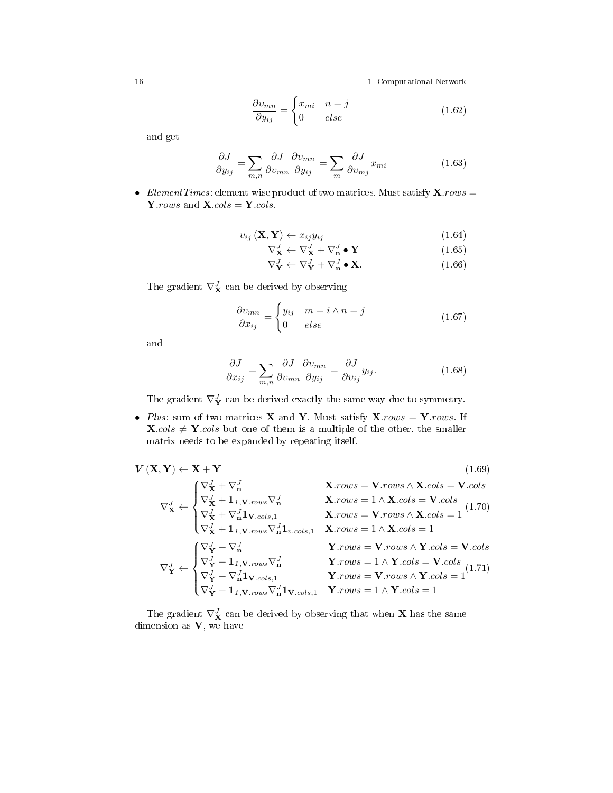$$
\frac{\partial v_{mn}}{\partial y_{ij}} = \begin{cases} x_{mi} & n = j \\ 0 & else \end{cases}
$$
 (1.62)

and get

$$
\frac{\partial J}{\partial y_{ij}} = \sum_{m,n} \frac{\partial J}{\partial v_{mn}} \frac{\partial v_{mn}}{\partial y_{ij}} = \sum_{m} \frac{\partial J}{\partial v_{mj}} x_{mi}
$$
(1.63)

• Element Times: element-wise product of two matrices. Must satisfy  $\mathbf{X}$ .rows = Y.rows and  $X. \ncols = Y. \ncols$ .

$$
v_{ij}(\mathbf{X}, \mathbf{Y}) \leftarrow x_{ij} y_{ij} \tag{1.64}
$$

$$
\nabla_{\mathbf{X}}^J \leftarrow \nabla_{\mathbf{X}}^J + \nabla_{\mathbf{n}}^J \bullet \mathbf{Y}
$$
\n(1.65)

$$
\nabla_{\mathbf{Y}}^J \leftarrow \nabla_{\mathbf{Y}}^J + \nabla_{\mathbf{n}}^J \bullet \mathbf{X}.
$$
 (1.66)

The gradient  $\nabla^J_{\mathbf{X}}$  can be derived by observing

$$
\frac{\partial v_{mn}}{\partial x_{ij}} = \begin{cases} y_{ij} & m = i \wedge n = j \\ 0 & else \end{cases}
$$
 (1.67)

and

$$
\frac{\partial J}{\partial x_{ij}} = \sum_{m,n} \frac{\partial J}{\partial v_{mn}} \frac{\partial v_{mn}}{\partial y_{ij}} = \frac{\partial J}{\partial v_{ij}} y_{ij}.
$$
 (1.68)

The gradient  $\nabla^J_{\mathbf{Y}}$  can be derived exactly the same way due to symmetry.

• Plus: sum of two matrices **X** and **Y**. Must satisfy  $X$ *rows* = **Y***rows*. If  $\mathbf{X}.\textit{cols} \neq \mathbf{Y}.\textit{cols}$  but one of them is a multiple of the other, the smaller matrix needs to be expanded by repeating itself.

$$
\mathbf{V}(\mathbf{X}, \mathbf{Y}) \leftarrow \mathbf{X} + \mathbf{Y}
$$
\n
$$
\nabla_{\mathbf{X}}^{J} \leftarrow \begin{cases}\n\nabla_{\mathbf{X}}^{J} + \nabla_{\mathbf{n}}^{J} & \mathbf{X}.\text{rows} = \mathbf{V}.\text{rows} \land \mathbf{X}.\text{cols} = \mathbf{V}.\text{cols} \\
\nabla_{\mathbf{X}}^{J} + \mathbf{1}_{I, \mathbf{V}.\text{rows}} \nabla_{\mathbf{n}}^{J} & \mathbf{X}.\text{rows} = 1 \land \mathbf{X}.\text{cols} = \mathbf{V}.\text{cols} \\
\nabla_{\mathbf{X}}^{J} + \nabla_{\mathbf{n}}^{J} \mathbf{1}_{\mathbf{V}.\text{cols},1} & \mathbf{X}.\text{rows} = \mathbf{V}.\text{rows} \land \mathbf{X}.\text{cols} = 1 \\
\nabla_{\mathbf{X}}^{J} + \mathbf{1}_{I, \mathbf{V}.\text{rows}} \nabla_{\mathbf{n}}^{J} \mathbf{1}_{v.\text{cols},1} & \mathbf{X}.\text{rows} = 1 \land \mathbf{X}.\text{cols} = 1 \\
\nabla_{\mathbf{Y}}^{J} + \nabla_{\mathbf{n}}^{J} & \mathbf{Y}.\text{rows} = \mathbf{V}.\text{rows} \land \mathbf{Y}.\text{cols} = \mathbf{V}.\text{cols} \\
\nabla_{\mathbf{Y}}^{J} \leftarrow \begin{cases}\n\nabla_{\mathbf{Y}}^{J} + \nabla_{\mathbf{n}}^{J} & \mathbf{Y}.\text{rows} = 1 \land \mathbf{Y}.\text{cols} = \mathbf{V}.\text{cols} \\
\nabla_{\mathbf{Y}}^{J} + \mathbf{1}_{I, \mathbf{V}.\text{rows}} \nabla_{\mathbf{n}}^{J} & \mathbf{Y}.\text{rows} = 1 \land \mathbf{Y}.\text{cols} = \mathbf{V}.\text{cols} \\
\nabla_{\mathbf{Y}}^{J} + \nabla_{\mathbf{n}}^{J} \mathbf{1}_{\mathbf{V}.\text{cols},1} & \mathbf{Y}.\text{rows} = \mathbf{V}.\text{rows} \land \mathbf{Y}.\text{cols
$$

The gradient  $\nabla^{J}_{\mathbf{X}}$  can be derived by observing that when  $\mathbf{X}$  has the same dimension as  $V$ , we have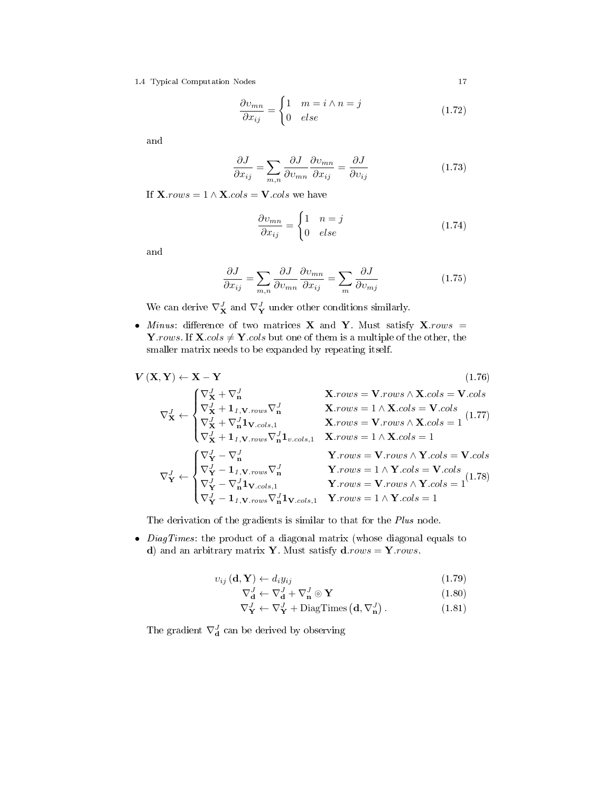1.4 Typical Computation Nodes 17

$$
\frac{\partial v_{mn}}{\partial x_{ij}} = \begin{cases} 1 & m = i \wedge n = j \\ 0 & else \end{cases}
$$
 (1.72)

and

$$
\frac{\partial J}{\partial x_{ij}} = \sum_{m,n} \frac{\partial J}{\partial v_{mn}} \frac{\partial v_{mn}}{\partial x_{ij}} = \frac{\partial J}{\partial v_{ij}} \tag{1.73}
$$

If  $\mathbf{X}$ *.rows* = 1 ∧  $\mathbf{X}$ *.cols* =  $\mathbf{V}$ *.cols* we have

$$
\frac{\partial v_{mn}}{\partial x_{ij}} = \begin{cases} 1 & n = j \\ 0 & else \end{cases}
$$
 (1.74)

and

$$
\frac{\partial J}{\partial x_{ij}} = \sum_{m,n} \frac{\partial J}{\partial v_{mn}} \frac{\partial v_{mn}}{\partial x_{ij}} = \sum_m \frac{\partial J}{\partial v_{mj}} \tag{1.75}
$$

We can derive  $\nabla_{\mathbf{X}}^J$  and  $\nabla_{\mathbf{Y}}^J$  under other conditions similarly.

• Minus: difference of two matrices  $X$  and  $Y$ . Must satisfy  $X$ . rows = Y.rows. If  $X \text{.} \text{cols} \neq Y \text{.} \text{cols}$  but one of them is a multiple of the other, the smaller matrix needs to be expanded by repeating itself.

$$
\mathbf{V}\left(\mathbf{X},\mathbf{Y}\right)\leftarrow\mathbf{X}-\mathbf{Y}\tag{1.76}
$$

$$
\nabla_{\mathbf{X}}^{J} \leftarrow \begin{cases}\n\nabla_{\mathbf{X}}^{J} + \nabla_{\mathbf{n}}^{J} & \mathbf{X}.\text{rows} = \mathbf{V}.\text{rows} \land \mathbf{X}.\text{cols} = \mathbf{V}.\text{cols} \\
\nabla_{\mathbf{X}}^{J} + \mathbf{1}_{I, \mathbf{V}.\text{rows}} \nabla_{\mathbf{n}}^{J} & \mathbf{X}.\text{rows} = 1 \land \mathbf{X}.\text{cols} = \mathbf{V}.\text{cols} \\
\nabla_{\mathbf{X}}^{J} + \nabla_{\mathbf{n}}^{J} \mathbf{1}_{\mathbf{V}.\text{cols}, 1} & \mathbf{X}.\text{rows} = \mathbf{V}.\text{rows} \land \mathbf{X}.\text{cols} = 1 \\
\nabla_{\mathbf{X}}^{J} + \mathbf{1}_{I, \mathbf{V}.\text{rows}} \nabla_{\mathbf{n}}^{J} \mathbf{1}_{v.\text{cols}, 1} & \mathbf{X}.\text{rows} = 1 \land \mathbf{X}.\text{cols} = 1 \\
\mathbf{X}.\text{rows} = 1 \land \mathbf{X}.\text{cols} = 1 \\
\nabla_{\mathbf{Y}}^{J} \leftarrow \begin{cases}\n\nabla_{\mathbf{Y}}^{J} - \nabla_{\mathbf{n}}^{J} & \mathbf{Y}.\text{rows} = \mathbf{V}.\text{rows} \land \mathbf{Y}.\text{cols} = \mathbf{V}.\text{cols} \\
\nabla_{\mathbf{Y}}^{J} - \mathbf{1}_{I, \mathbf{V}.\text{rows}} \nabla_{\mathbf{n}}^{J} & \mathbf{Y}.\text{rows} = 1 \land \mathbf{Y}.\text{cols} = \mathbf{V}.\text{cols} \\
\nabla_{\mathbf{Y}}^{J} - \nabla_{\mathbf{n}}^{J} \mathbf{1}_{\mathbf{V}.\text{cols}, 1} & \mathbf{Y}.\text{rows} = \mathbf{V}.\text{rows} \land \mathbf{Y}.\text{cols} = 1 \\
\nabla_{\mathbf{Y}}^{J} - \mathbf{1}_{I, \mathbf{V}.\text{rows}} \nabla_{\mathbf{n}}^{J} \mathbf{1}_{\mathbf{V}.\text{cols}, 1} & \mathbf{Y}.\text{rows} = 1 \land \mathbf
$$

The derivation of the gradients is similar to that for the *Plus* node.

• *DiagTimes*: the product of a diagonal matrix (whose diagonal equals to d) and an arbitrary matrix Y. Must satisfy  $d$ .rows = Y.rows.

$$
v_{ij}(\mathbf{d}, \mathbf{Y}) \leftarrow d_i y_{ij} \tag{1.79}
$$

$$
\nabla_{\mathbf{d}}^J \leftarrow \nabla_{\mathbf{d}}^J + \nabla_{\mathbf{n}}^J \odot \mathbf{Y}
$$
 (1.80)

$$
\nabla_{\mathbf{Y}}^{J} \leftarrow \nabla_{\mathbf{Y}}^{J} + \text{DiagTimes}\left(\mathbf{d}, \nabla_{\mathbf{n}}^{J}\right). \tag{1.81}
$$

The gradient  $\nabla^J_{\mathbf{d}}$  can be derived by observing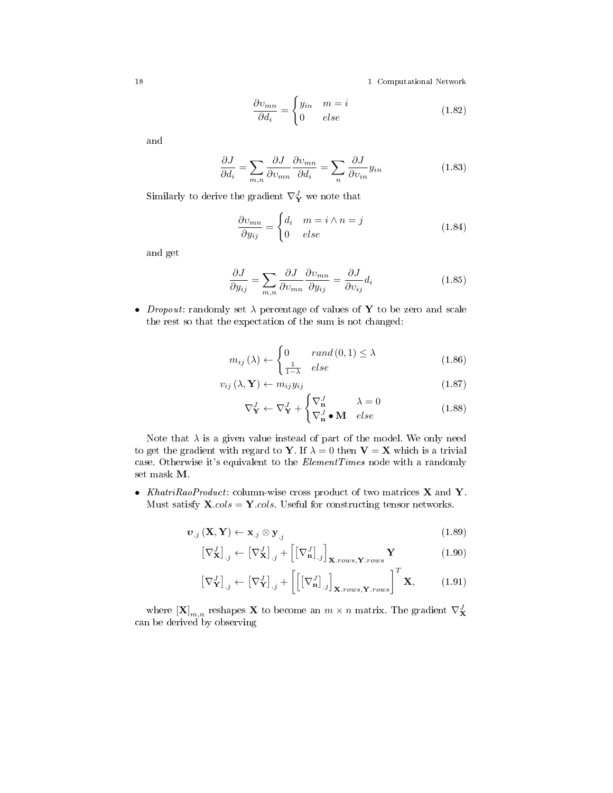$$
\frac{\partial v_{mn}}{\partial d_i} = \begin{cases} y_{in} & m = i \\ 0 & else \end{cases}
$$
 (1.82)

and

$$
\frac{\partial J}{\partial d_i} = \sum_{m,n} \frac{\partial J}{\partial v_{mn}} \frac{\partial v_{mn}}{\partial d_i} = \sum_n \frac{\partial J}{\partial v_{in}} y_{in}
$$
(1.83)

Similarly to derive the gradient  $\nabla^J_{\mathbf{Y}}$  we note that

$$
\frac{\partial v_{mn}}{\partial y_{ij}} = \begin{cases} d_i & m = i \wedge n = j \\ 0 & else \end{cases}
$$
 (1.84)

and get

$$
\frac{\partial J}{\partial y_{ij}} = \sum_{m,n} \frac{\partial J}{\partial v_{mn}} \frac{\partial v_{mn}}{\partial y_{ij}} = \frac{\partial J}{\partial v_{ij}} d_i
$$
 (1.85)

• *Dropout*: randomly set  $\lambda$  percentage of values of Y to be zero and scale the rest so that the expectation of the sum is not changed:

$$
m_{ij}(\lambda) \leftarrow \begin{cases} 0 & \text{rand}(0,1) \le \lambda \\ \frac{1}{1-\lambda} & \text{else} \end{cases}
$$
 (1.86)

$$
v_{ij} (\lambda, \mathbf{Y}) \leftarrow m_{ij} y_{ij}
$$
\n
$$
(1.87)
$$

$$
\nabla_{\mathbf{Y}}^{J} \leftarrow \nabla_{\mathbf{Y}}^{J} + \begin{cases} \nabla_{\mathbf{n}}^{J} & \lambda = 0\\ \nabla_{\mathbf{n}}^{J} \bullet \mathbf{M} & else \end{cases}
$$
 (1.88)

Note that  $\lambda$  is a given value instead of part of the model. We only need to get the gradient with regard to Y. If  $\lambda = 0$  then  $V = X$  which is a trivial case. Otherwise it's equivalent to the *ElementTimes* node with a randomly set mask M.

• KhatriRaoProduct: column-wise cross product of two matrices **X** and **Y**. Must satisfy  $\mathbf{X}.\textit{cols} = \mathbf{Y}.\textit{cols}$ . Useful for constructing tensor networks.

$$
\boldsymbol{v}_{.j}(\mathbf{X}, \mathbf{Y}) \leftarrow \mathbf{x}_{.j} \otimes \mathbf{y}_{.j} \tag{1.89}
$$

$$
\left[\nabla_{\mathbf{X}}^{J}\right]_{.j} \leftarrow \left[\nabla_{\mathbf{X}}^{J}\right]_{.j} + \left[\left[\nabla_{\mathbf{n}}^{J}\right]_{.j}\right]_{\mathbf{X}.\text{rows},\mathbf{Y}.\text{rows}} \mathbf{Y} \tag{1.90}
$$

$$
\left[\nabla_{\mathbf{Y}}^{J}\right]_{.j} \leftarrow \left[\nabla_{\mathbf{Y}}^{J}\right]_{.j} + \left[\left[\left[\nabla_{\mathbf{n}}^{J}\right]_{.j}\right]_{\mathbf{X}, rows, \mathbf{Y}, rows}\right]^{T} \mathbf{X},\tag{1.91}
$$

where  $\left[\mathbf{X}\right]_{m,n}$  reshapes  $\mathbf{X}$  to become an  $m \times n$  matrix. The gradient  $\nabla_{\mathbf{X}}^J$ can be derived by observing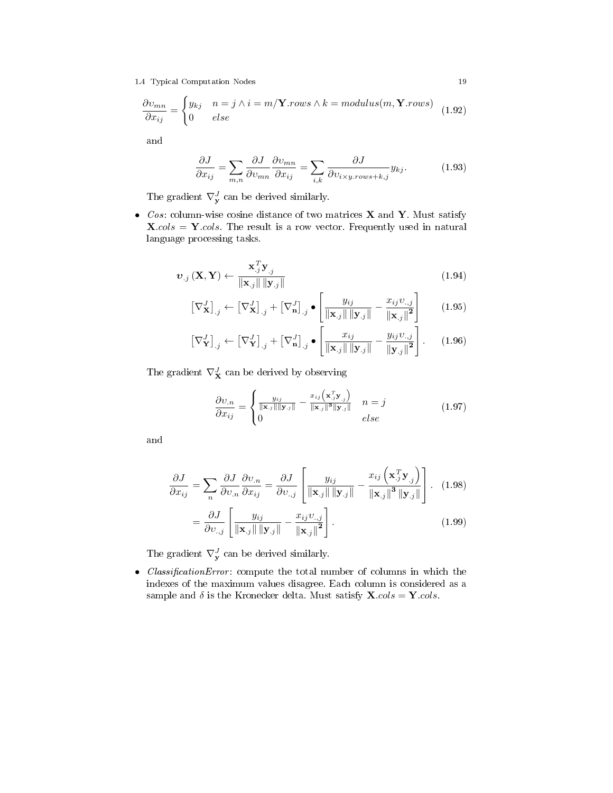1.4 Typical Computation Nodes 19

$$
\frac{\partial v_{mn}}{\partial x_{ij}} = \begin{cases} y_{kj} & n = j \land i = m/\mathbf{Y}.rows \land k = modulus(m, \mathbf{Y}.rows) \\ 0 & else \end{cases}
$$
(1.92)

and

$$
\frac{\partial J}{\partial x_{ij}} = \sum_{m,n} \frac{\partial J}{\partial v_{mn}} \frac{\partial v_{mn}}{\partial x_{ij}} = \sum_{i,k} \frac{\partial J}{\partial v_{i \times y. rows + k,j}} y_{kj}.
$$
 (1.93)

The gradient  $\nabla_{\mathbf{y}}^J$  can be derived similarly.

• Cos: column-wise cosine distance of two matrices  $X$  and  $Y$ . Must satisfy  $\mathbf{X}.\text{cols} = \mathbf{Y}.\text{cols}$ . The result is a row vector. Frequently used in natural language processing tasks.

$$
\boldsymbol{v}_{.j}(\mathbf{X}, \mathbf{Y}) \leftarrow \frac{\mathbf{x}_{.j}^T \mathbf{y}_{.j}}{\|\mathbf{x}_{.j}\| \|\mathbf{y}_{.j}\|}
$$
(1.94)

$$
\left[\nabla_{\mathbf{X}}^{J}\right]_{.j} \leftarrow \left[\nabla_{\mathbf{X}}^{J}\right]_{.j} + \left[\nabla_{\mathbf{n}}^{J}\right]_{.j} \bullet \left[\frac{y_{ij}}{\|\mathbf{x}_{.j}\| \|\mathbf{y}_{.j}\|} - \frac{x_{ij}v_{.,j}}{\|\mathbf{x}_{.j}\|^{2}}\right] \tag{1.95}
$$

$$
\left[\nabla_{\mathbf{Y}}^{J}\right]_{.j} \leftarrow \left[\nabla_{\mathbf{Y}}^{J}\right]_{.j} + \left[\nabla_{\mathbf{n}}^{J}\right]_{.j} \bullet \left[\frac{x_{ij}}{\|\mathbf{x}_{.j}\| \|\mathbf{y}_{.j}\|} - \frac{y_{ij}v_{.,j}}{\|\mathbf{y}_{.j}\|^{2}}\right].
$$
 (1.96)

The gradient  $\nabla^J_{\mathbf{X}}$  can be derived by observing

$$
\frac{\partial v_{.n}}{\partial x_{ij}} = \begin{cases} \frac{y_{ij}}{\|\mathbf{x}_{.j}\| \|\mathbf{y}_{.j}\|} - \frac{x_{ij} \left(\mathbf{x}_{.j}^{\mathrm{T}} \mathbf{y}_{.j}\right)}{\|\mathbf{x}_{.j}\|^3 \|\mathbf{y}_{.j}\|} & n = j\\ 0 & else \end{cases}
$$
(1.97)

and

$$
\frac{\partial J}{\partial x_{ij}} = \sum_{n} \frac{\partial J}{\partial v_{.n}} \frac{\partial v_{.n}}{\partial x_{ij}} = \frac{\partial J}{\partial v_{.j}} \left[ \frac{y_{ij}}{\|\mathbf{x}_{.j}\| \|\mathbf{y}_{.j}\|} - \frac{x_{ij} \left( \mathbf{x}_{.j}^{T} \mathbf{y}_{.j} \right)}{\|\mathbf{x}_{.j}\|^{3} \|\mathbf{y}_{.j}\|} \right].
$$
\n(1.98)\n
$$
= \frac{\partial J}{\partial v_{.j}} \left[ \frac{y_{ij}}{\|\mathbf{x}_{.j}\| \|\mathbf{y}_{.j}\|} - \frac{x_{ij} v_{.j}}{\|\mathbf{x}_{.j}\|^{2}} \right].
$$
\n(1.99)

The gradient  $\nabla_{\mathbf{y}}^J$  can be derived similarly.

• ClassificationError: compute the total number of columns in which the indexes of the maximum values disagree. Each column is considered as a sample and  $\delta$  is the Kronecker delta. Must satisfy  $\mathbf{X}.cols = \mathbf{Y}.cols$ .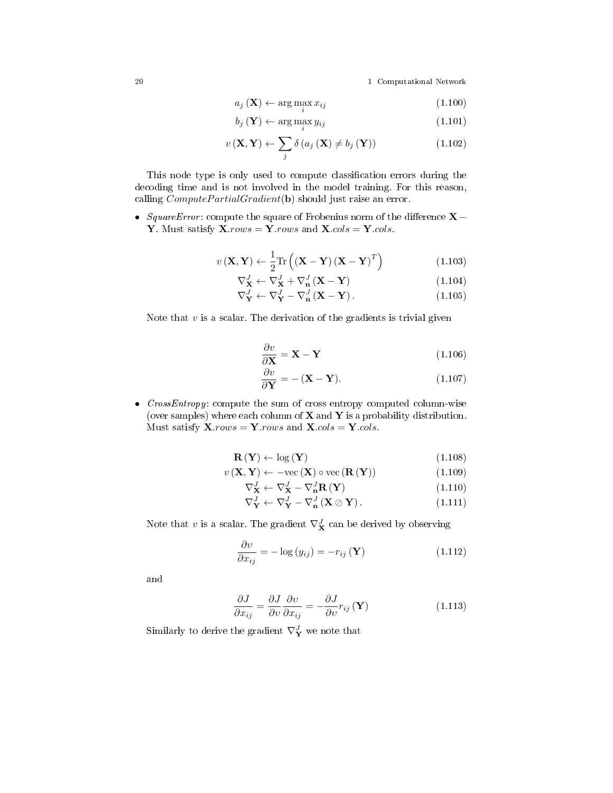$$
a_j(\mathbf{X}) \leftarrow \arg\max_i x_{ij} \tag{1.100}
$$

$$
b_j\left(\mathbf{Y}\right) \leftarrow \arg\max_i y_{ij} \tag{1.101}
$$

$$
v\left(\mathbf{X}, \mathbf{Y}\right) \leftarrow \sum_{j} \delta\left(a_{j}\left(\mathbf{X}\right) \neq b_{j}\left(\mathbf{Y}\right)\right) \tag{1.102}
$$

This node type is only used to compute classification errors during the decoding time and is not involved in the model training. For this reason, calling  $ComputePartialGradient(b)$  should just raise an error.

• SquareError: compute the square of Frobenius norm of the difference  $X -$ Y. Must satisfy  $\mathbf{X}.\text{rows} = \mathbf{Y}.\text{rows}$  and  $\mathbf{X}.\text{cols} = \mathbf{Y}.\text{cols}.$ 

$$
v\left(\mathbf{X}, \mathbf{Y}\right) \leftarrow \frac{1}{2} \text{Tr}\left(\left(\mathbf{X} - \mathbf{Y}\right)\left(\mathbf{X} - \mathbf{Y}\right)^{T}\right) \tag{1.103}
$$

$$
\nabla_{\mathbf{X}}^J \leftarrow \nabla_{\mathbf{X}}^J + \nabla_{\mathbf{n}}^J (\mathbf{X} - \mathbf{Y}) \tag{1.104}
$$

$$
\nabla_{\mathbf{Y}}^{J} \leftarrow \nabla_{\mathbf{Y}}^{J} - \nabla_{\mathbf{n}}^{J} (\mathbf{X} - \mathbf{Y}). \tag{1.105}
$$

Note that  $v$  is a scalar. The derivation of the gradients is trivial given

$$
\frac{\partial v}{\partial \mathbf{X}} = \mathbf{X} - \mathbf{Y} \tag{1.106}
$$

$$
\frac{\partial v}{\partial \mathbf{Y}} = -(\mathbf{X} - \mathbf{Y}).\tag{1.107}
$$

• CrossEntropy: compute the sum of cross entropy computed column-wise (over samples) where each column of  $X$  and  $Y$  is a probability distribution. Must satisfy  $\mathbf{X}$ .rows =  $\mathbf{Y}$ .rows and  $\mathbf{X}.cols = \mathbf{Y}.cols$ .

$$
\mathbf{R}\left(\mathbf{Y}\right) \leftarrow \log\left(\mathbf{Y}\right) \tag{1.108}
$$

$$
v\left(\mathbf{X}, \mathbf{Y}\right) \leftarrow -\text{vec}\left(\mathbf{X}\right) \circ \text{vec}\left(\mathbf{R}\left(\mathbf{Y}\right)\right) \tag{1.109}
$$

$$
\nabla_{\mathbf{X}}^{J} \leftarrow \nabla_{\mathbf{X}}^{J} - \nabla_{\mathbf{n}}^{J} \mathbf{R} \left( \mathbf{Y} \right)
$$
\n(1.110)

$$
\nabla_{\mathbf{Y}}^J \leftarrow \nabla_{\mathbf{Y}}^J - \nabla_{\mathbf{n}}^J (\mathbf{X} \oslash \mathbf{Y}). \tag{1.111}
$$

Note that  $v$  is a scalar. The gradient  $\nabla^J_{\mathbf{X}}$  can be derived by observing

$$
\frac{\partial v}{\partial x_{ij}} = -\log(y_{ij}) = -r_{ij}(\mathbf{Y})
$$
\n(1.112)

and

$$
\frac{\partial J}{\partial x_{ij}} = \frac{\partial J}{\partial v} \frac{\partial v}{\partial x_{ij}} = -\frac{\partial J}{\partial v} r_{ij} (\mathbf{Y})
$$
\n(1.113)

Similarly to derive the gradient  $\nabla^J_{\mathbf{Y}}$  we note that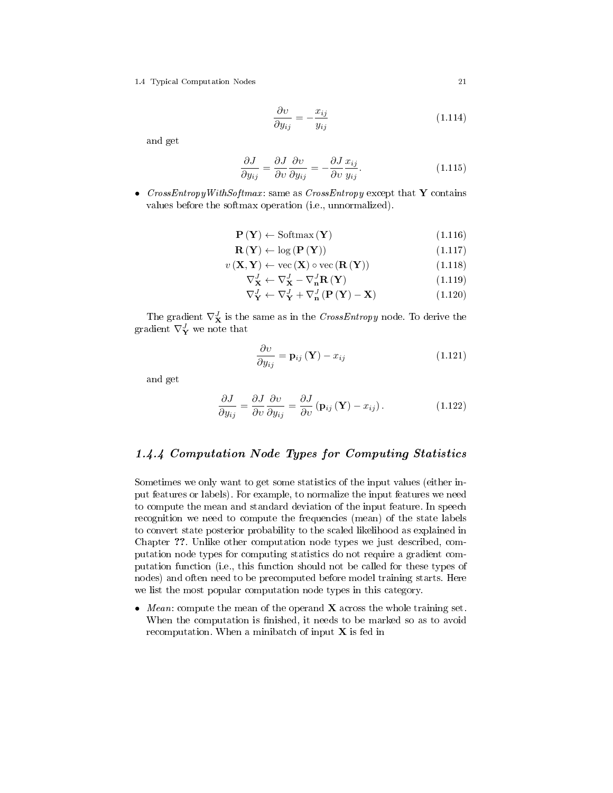1.4 Typical Computation Nodes 21

$$
\frac{\partial v}{\partial y_{ij}} = -\frac{x_{ij}}{y_{ij}}\tag{1.114}
$$

and get

$$
\frac{\partial J}{\partial y_{ij}} = \frac{\partial J}{\partial v} \frac{\partial v}{\partial y_{ij}} = -\frac{\partial J}{\partial v} \frac{x_{ij}}{y_{ij}}.
$$
\n(1.115)

• CrossEntropyWithSoftmax: same as CrossEntropy except that Y contains values before the softmax operation (i.e., unnormalized).

$$
\mathbf{P}(\mathbf{Y}) \leftarrow \text{Softmax}(\mathbf{Y}) \tag{1.116}
$$

$$
\mathbf{R}\left(\mathbf{Y}\right) \leftarrow \log\left(\mathbf{P}\left(\mathbf{Y}\right)\right) \tag{1.117}
$$

$$
v\left(\mathbf{X}, \mathbf{Y}\right) \leftarrow \text{vec}\left(\mathbf{X}\right) \circ \text{vec}\left(\mathbf{R}\left(\mathbf{Y}\right)\right) \tag{1.118}
$$

$$
\nabla_{\mathbf{X}}^J \leftarrow \nabla_{\mathbf{X}}^J - \nabla_{\mathbf{n}}^J \mathbf{R} \left( \mathbf{Y} \right) \tag{1.119}
$$

$$
\nabla_{\mathbf{Y}}^{J} \leftarrow \nabla_{\mathbf{Y}}^{J} + \nabla_{\mathbf{n}}^{J} \left( \mathbf{P} \left( \mathbf{Y} \right) - \mathbf{X} \right) \tag{1.120}
$$

The gradient  $\nabla^{J}_{\mathbf{X}}$  is the same as in the  $\mathit{CrossEntropy}$  node. To derive the gradient  $\nabla^J_{\mathbf{Y}}$  we note that

$$
\frac{\partial v}{\partial y_{ij}} = \mathbf{p}_{ij} \left( \mathbf{Y} \right) - x_{ij} \tag{1.121}
$$

and get

$$
\frac{\partial J}{\partial y_{ij}} = \frac{\partial J}{\partial v} \frac{\partial v}{\partial y_{ij}} = \frac{\partial J}{\partial v} (\mathbf{p}_{ij} (\mathbf{Y}) - x_{ij}). \qquad (1.122)
$$

## 1.4.4 Computation Node Types for Computing Statistics

Sometimes we only want to get some statistics of the input values (either input features or labels). For example, to normalize the input features we need to compute the mean and standard deviation of the input feature. In speech recognition we need to compute the frequencies (mean) of the state labels to convert state posterior probability to the scaled likelihood as explained in Chapter ??. Unlike other computation node types we just described, computation node types for computing statistics do not require a gradient computation function (i.e., this function should not be called for these types of nodes) and often need to be precomputed before model training starts. Here we list the most popular computation node types in this category.

• Mean: compute the mean of the operand  $X$  across the whole training set. When the computation is finished, it needs to be marked so as to avoid recomputation. When a minibatch of input  $X$  is fed in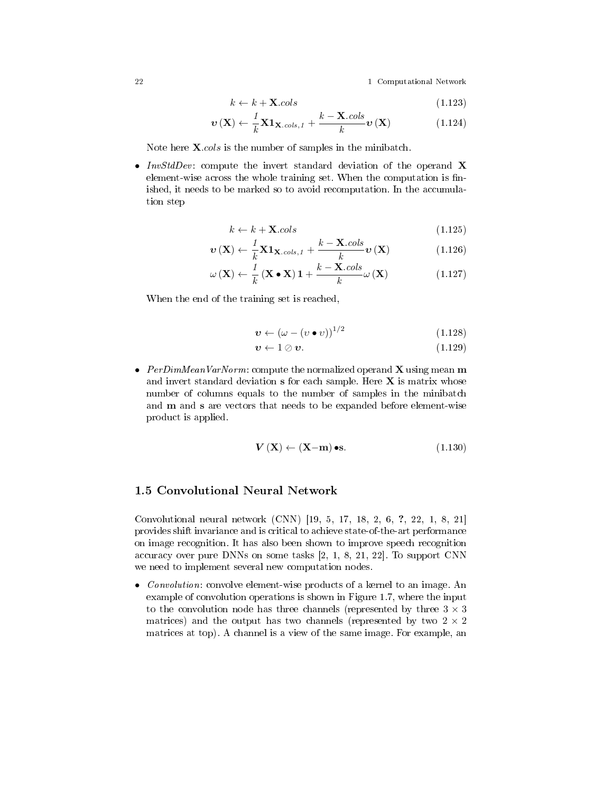$$
k \leftarrow k + \mathbf{X}.cols \tag{1.123}
$$

$$
\boldsymbol{v}\left(\mathbf{X}\right) \leftarrow \frac{1}{k} \mathbf{X} \mathbf{1}_{\mathbf{X}.cols,1} + \frac{k - \mathbf{X}.cols}{k} \boldsymbol{v}\left(\mathbf{X}\right) \tag{1.124}
$$

Note here **X**.cols is the number of samples in the minibatch.

• InvStdDev: compute the invert standard deviation of the operand  $\bf{X}$ element-wise across the whole training set. When the computation is finished, it needs to be marked so to avoid recomputation. In the accumulation step

$$
k \leftarrow k + \mathbf{X}.\text{cols} \tag{1.125}
$$

$$
\boldsymbol{v}\left(\mathbf{X}\right) \leftarrow \frac{1}{k} \mathbf{X} \mathbf{1}_{\mathbf{X}.cols,1} + \frac{k - \mathbf{X}.cols}{k} \boldsymbol{v}\left(\mathbf{X}\right) \tag{1.126}
$$

$$
\omega\left(\mathbf{X}\right) \leftarrow \frac{1}{k}\left(\mathbf{X} \bullet \mathbf{X}\right) \mathbf{1} + \frac{k - \mathbf{X} \cdot \text{cols}}{k} \omega\left(\mathbf{X}\right) \tag{1.127}
$$

When the end of the training set is reached,

$$
\boldsymbol{v} \leftarrow \left(\omega - \left(v \bullet v\right)\right)^{1/2} \tag{1.128}
$$

$$
\boldsymbol{v} \leftarrow 1 \oslash \boldsymbol{v}.\tag{1.129}
$$

• PerDimMeanVarNorm: compute the normalized operand  $X$  using mean  $m$ and invert standard deviation  $s$  for each sample. Here  $X$  is matrix whose number of columns equals to the number of samples in the minibatch and m and s are vectors that needs to be expanded before element-wise product is applied.

$$
\mathbf{V}\left(\mathbf{X}\right) \leftarrow \left(\mathbf{X} - \mathbf{m}\right) \bullet \mathbf{s}.\tag{1.130}
$$

## 1.5 Convolutional Neural Network

Convolutional neural network (CNN) [19, 5, 17, 18, 2, 6, ?, 22, 1, 8, 21] provides shift invariance and is critical to achieve state-of-the-art performance on image recognition. It has also been shown to improve speech recognition accuracy over pure DNNs on some tasks [2, 1, 8, 21, 22]. To support CNN we need to implement several new computation nodes.

• *Convolution*: convolve element-wise products of a kernel to an image. An example of convolution operations is shown in Figure 1.7, where the input to the convolution node has three channels (represented by three  $3 \times 3$ ) matrices) and the output has two channels (represented by two  $2 \times 2$ matrices at top). A channel is a view of the same image. For example, an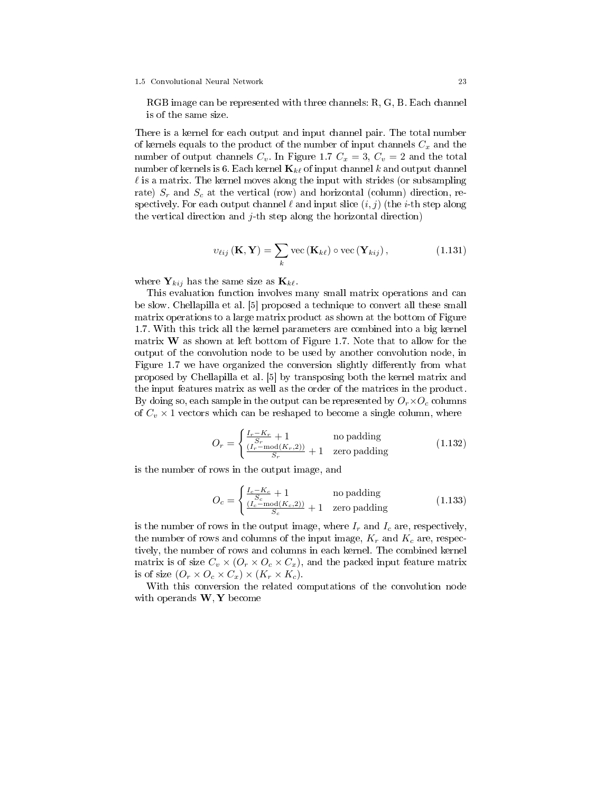RGB image can be represented with three channels: R, G, B. Each channel is of the same size.

There is a kernel for each output and input channel pair. The total number of kernels equals to the product of the number of input channels  $C_x$  and the number of output channels  $C_v$ . In Figure 1.7  $C_x = 3$ ,  $C_v = 2$  and the total number of kernels is 6. Each kernel  $\mathbf{K}_{k\ell}$  of input channel k and output channel  $\ell$  is a matrix. The kernel moves along the input with strides (or subsampling rate)  $S_r$  and  $S_c$  at the vertical (row) and horizontal (column) direction, respectively. For each output channel  $\ell$  and input slice  $(i, j)$  (the *i*-th step along the vertical direction and  $j$ -th step along the horizontal direction)

$$
v_{\ell ij}(\mathbf{K}, \mathbf{Y}) = \sum_{k} \text{vec}(\mathbf{K}_{k\ell}) \circ \text{vec}(\mathbf{Y}_{kij}), \qquad (1.131)
$$

where  $Y_{kij}$  has the same size as  $K_{k\ell}$ .

This evaluation function involves many small matrix operations and can be slow. Chellapilla et al. [5] proposed a technique to convert all these small matrix operations to a large matrix product as shown at the bottom of Figure 1.7. With this trick all the kernel parameters are combined into a big kernel matrix  $W$  as shown at left bottom of Figure 1.7. Note that to allow for the output of the convolution node to be used by another convolution node, in Figure 1.7 we have organized the conversion slightly differently from what proposed by Chellapilla et al. [5] by transposing both the kernel matrix and the input features matrix as well as the order of the matrices in the product. By doing so, each sample in the output can be represented by  $O_r \times O_c$  columns of  $C_v \times 1$  vectors which can be reshaped to become a single column, where

$$
O_r = \begin{cases} \frac{I_r - K_r}{S_r} + 1 & \text{no padding} \\ \frac{(I_r - \text{mod}(K_r, 2))}{S_r} + 1 & \text{zero padding} \end{cases}
$$
(1.132)

is the number of rows in the output image, and

$$
O_c = \begin{cases} \frac{I_c - K_c}{S_c} + 1 & \text{no padding} \\ \frac{(I_c - \text{mod}(K_c, 2))}{S_c} + 1 & \text{zero padding} \end{cases}
$$
(1.133)

is the number of rows in the output image, where  $I_r$  and  $I_c$  are, respectively, the number of rows and columns of the input image,  $K_r$  and  $K_c$  are, respectively, the number of rows and columns in each kernel. The combined kernel matrix is of size  $C_v \times (O_r \times O_c \times C_x)$ , and the packed input feature matrix is of size  $(O_r \times O_c \times C_x) \times (K_r \times K_c)$ .

With this conversion the related computations of the convolution node with operands  $W, Y$  become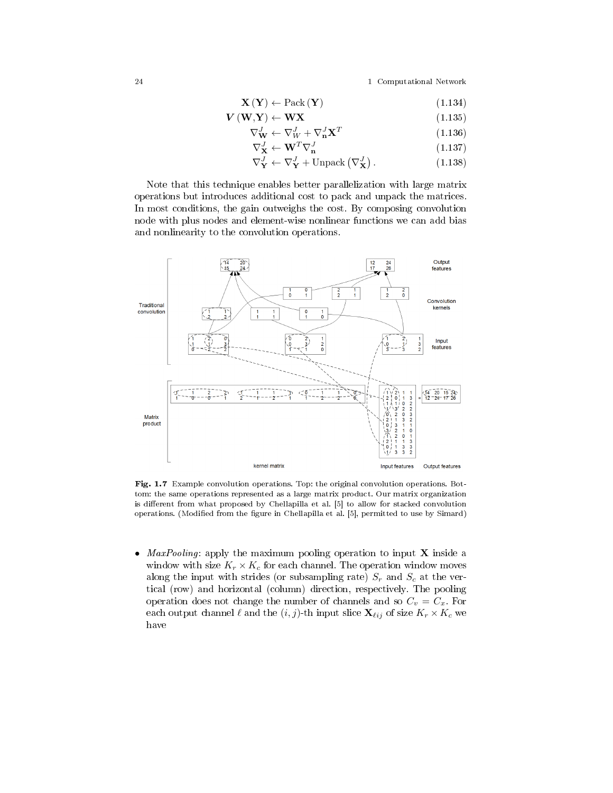$$
\mathbf{X}\left(\mathbf{Y}\right) \leftarrow \text{Pack}\left(\mathbf{Y}\right) \tag{1.134}
$$

$$
\mathbf{V}(\mathbf{W}, \mathbf{Y}) \leftarrow \mathbf{W} \mathbf{X} \tag{1.135}
$$

$$
\nabla_{\mathbf{W}}^J \leftarrow \nabla_W^J + \nabla_{\mathbf{n}}^J \mathbf{X}^T \tag{1.136}
$$

$$
\nabla_{\mathbf{X}}^J \leftarrow \mathbf{W}^T \nabla_{\mathbf{n}}^J \tag{1.137}
$$

$$
\nabla_{\mathbf{Y}}^{J} \leftarrow \nabla_{\mathbf{Y}}^{J} + \text{Unpack}\left(\nabla_{\mathbf{X}}^{J}\right). \tag{1.138}
$$

Note that this technique enables better parallelization with large matrix operations but introduces additional cost to pack and unpack the matrices. In most conditions, the gain outweighs the cost. By composing convolution node with plus nodes and element-wise nonlinear functions we can add bias and nonlinearity to the convolution operations.



Fig. 1.7 Example convolution operations. Top: the original convolution operations. Bottom: the same operations represented as a large matrix product. Our matrix organization is different from what proposed by Chellapilla et al. [5] to allow for stacked convolution operations. (Modified from the figure in Chellapilla et al. [5], permitted to use by Simard)

• *MaxPooling*: apply the maximum pooling operation to input  $X$  inside a window with size  $K_r \times K_c$  for each channel. The operation window moves along the input with strides (or subsampling rate)  $S_r$  and  $S_c$  at the vertical (row) and horizontal (column) direction, respectively. The pooling operation does not change the number of channels and so  $C_v = C_x$ . For each output channel  $\ell$  and the  $(i, j)$ -th input slice  $\mathbf{X}_{\ell ij}$  of size  $K_r \times K_c$  we have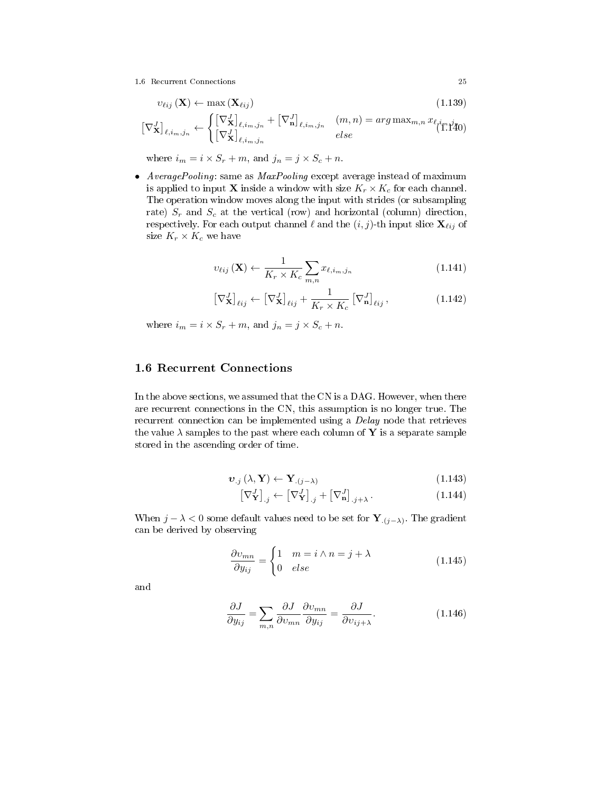1.6 Recurrent Connections 25

$$
v_{\ell ij}(\mathbf{X}) \leftarrow \max\left(\mathbf{X}_{\ell ij}\right) \tag{1.139}
$$

$$
\left[\nabla_{\mathbf{X}}^{J}\right]_{\ell,i_m,j_n} \leftarrow \begin{cases} \left[\nabla_{\mathbf{X}}^{J}\right]_{\ell,i_m,j_n} + \left[\nabla_{\mathbf{n}}^{J}\right]_{\ell,i_m,j_n} & (m,n) = arg \max_{m,n} x_{\ell,i_m,j_n} \\ \left[\nabla_{\mathbf{X}}^{J}\right]_{\ell,i_m,j_n} & else \end{cases}
$$

where  $i_m = i \times S_r + m$ , and  $j_n = j \times S_c + n$ .

• AveragePooling: same as MaxPooling except average instead of maximum is applied to input **X** inside a window with size  $K_r \times K_c$  for each channel. The operation window moves along the input with strides (or subsampling rate)  $S_r$  and  $S_c$  at the vertical (row) and horizontal (column) direction, respectively. For each output channel  $\ell$  and the  $(i, j)$ -th input slice  $\mathbf{X}_{\ell ij}$  of size  $K_r \times K_c$  we have

$$
v_{\ell ij}(\mathbf{X}) \leftarrow \frac{1}{K_r \times K_c} \sum_{m,n} x_{\ell, i_m, j_n} \tag{1.141}
$$

$$
\left[\nabla_{\mathbf{X}}^{J}\right]_{\ell ij} \leftarrow \left[\nabla_{\mathbf{X}}^{J}\right]_{\ell ij} + \frac{1}{K_r \times K_c} \left[\nabla_{\mathbf{n}}^{J}\right]_{\ell ij},\tag{1.142}
$$

where  $i_m = i \times S_r + m$ , and  $j_n = j \times S_c + n$ .

### 1.6 Recurrent Connections

In the above sections, we assumed that the CN is a DAG. However, when there are recurrent connections in the CN, this assumption is no longer true. The recurrent connection can be implemented using a *Delay* node that retrieves the value  $\lambda$  samples to the past where each column of Y is a separate sample stored in the ascending order of time.

$$
\boldsymbol{v}_{.j} \left( \lambda, \mathbf{Y} \right) \leftarrow \mathbf{Y}_{.j - \lambda)} \tag{1.143}
$$

$$
\left[\nabla_{\mathbf{Y}}^{J}\right]_{.j} \leftarrow \left[\nabla_{\mathbf{Y}}^{J}\right]_{.j} + \left[\nabla_{\mathbf{n}}^{J}\right]_{.j+\lambda}.
$$
\n(1.144)

When  $j - \lambda < 0$  some default values need to be set for  $\mathbf{Y}_{(j-\lambda)}$ . The gradient can be derived by observing

$$
\frac{\partial v_{mn}}{\partial y_{ij}} = \begin{cases} 1 & m = i \wedge n = j + \lambda \\ 0 & else \end{cases}
$$
 (1.145)

and

$$
\frac{\partial J}{\partial y_{ij}} = \sum_{m,n} \frac{\partial J}{\partial v_{mn}} \frac{\partial v_{mn}}{\partial y_{ij}} = \frac{\partial J}{\partial v_{ij+\lambda}}.
$$
 (1.146)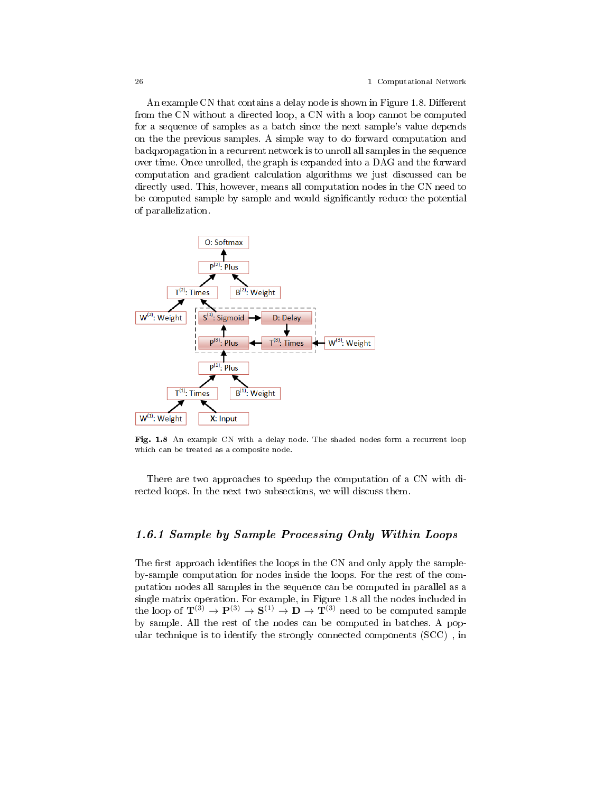An example CN that contains a delay node is shown in Figure 1.8. Different from the CN without a directed loop, a CN with a loop cannot be computed for a sequence of samples as a batch since the next sample's value depends on the the previous samples. A simple way to do forward computation and backpropagation in a recurrent network is to unroll all samples in the sequence over time. Once unrolled, the graph is expanded into a DAG and the forward computation and gradient calculation algorithms we just discussed can be directly used. This, however, means all computation nodes in the CN need to be computed sample by sample and would signicantly reduce the potential of parallelization.



Fig. 1.8 An example CN with a delay node. The shaded nodes form a recurrent loop which can be treated as a composite node.

There are two approaches to speedup the computation of a CN with directed loops. In the next two subsections, we will discuss them.

## 1.6.1 Sample by Sample Processing Only Within Loops

The first approach identifies the loops in the CN and only apply the sampleby-sample computation for nodes inside the loops. For the rest of the computation nodes all samples in the sequence can be computed in parallel as a single matrix operation. For example, in Figure 1.8 all the nodes included in the loop of  $\mathbf{T}^{(3)} \to \mathbf{P}^{(3)} \to \mathbf{S}^{(1)} \to \mathbf{D} \to \mathbf{T}^{(3)}$  need to be computed sample by sample. All the rest of the nodes can be computed in batches. A popular technique is to identify the strongly connected components (SCC) , in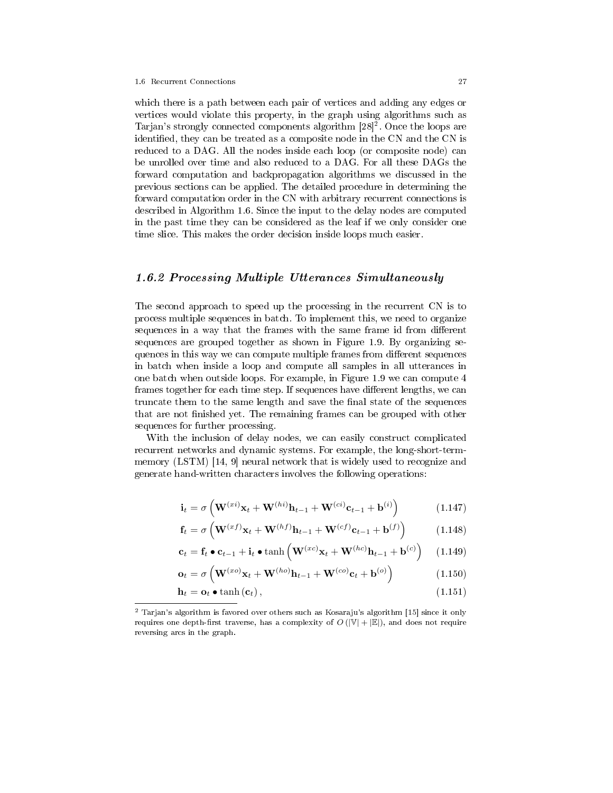which there is a path between each pair of vertices and adding any edges or vertices would violate this property, in the graph using algorithms such as Tarjan's strongly connected components algorithm  $[28]^2$ . Once the loops are identified, they can be treated as a composite node in the CN and the CN is reduced to a DAG. All the nodes inside each loop (or composite node) can be unrolled over time and also reduced to a DAG. For all these DAGs the forward computation and backpropagation algorithms we discussed in the previous sections can be applied. The detailed procedure in determining the forward computation order in the CN with arbitrary recurrent connections is described in Algorithm 1.6. Since the input to the delay nodes are computed in the past time they can be considered as the leaf if we only consider one time slice. This makes the order decision inside loops much easier.

### 1.6.2 Processing Multiple Utterances Simultaneously

The second approach to speed up the processing in the recurrent CN is to process multiple sequences in batch. To implement this, we need to organize sequences in a way that the frames with the same frame id from different sequences are grouped together as shown in Figure 1.9. By organizing sequences in this way we can compute multiple frames from different sequences in batch when inside a loop and compute all samples in all utterances in one batch when outside loops. For example, in Figure 1.9 we can compute 4 frames together for each time step. If sequences have different lengths, we can truncate them to the same length and save the final state of the sequences that are not finished yet. The remaining frames can be grouped with other sequences for further processing.

With the inclusion of delay nodes, we can easily construct complicated recurrent networks and dynamic systems. For example, the long-short-termmemory (LSTM) [14, 9] neural network that is widely used to recognize and generate hand-written characters involves the following operations:

$$
\mathbf{i}_{t} = \sigma \left( \mathbf{W}^{(xi)} \mathbf{x}_{t} + \mathbf{W}^{(hi)} \mathbf{h}_{t-1} + \mathbf{W}^{(ci)} \mathbf{c}_{t-1} + \mathbf{b}^{(i)} \right)
$$
(1.147)

$$
\mathbf{f}_t = \sigma \left( \mathbf{W}^{(xf)} \mathbf{x}_t + \mathbf{W}^{(hf)} \mathbf{h}_{t-1} + \mathbf{W}^{(cf)} \mathbf{c}_{t-1} + \mathbf{b}^{(f)} \right) \tag{1.148}
$$

$$
\mathbf{c}_t = \mathbf{f}_t \bullet \mathbf{c}_{t-1} + \mathbf{i}_t \bullet \tanh\left(\mathbf{W}^{(xc)}\mathbf{x}_t + \mathbf{W}^{(hc)}\mathbf{h}_{t-1} + \mathbf{b}^{(c)}\right) \quad (1.149)
$$

$$
\mathbf{o}_t = \sigma \left( \mathbf{W}^{(xo)} \mathbf{x}_t + \mathbf{W}^{(ho)} \mathbf{h}_{t-1} + \mathbf{W}^{(co)} \mathbf{c}_t + \mathbf{b}^{(o)} \right) \tag{1.150}
$$

$$
\mathbf{h}_t = \mathbf{o}_t \bullet \tanh(\mathbf{c}_t), \tag{1.151}
$$

<sup>2</sup> Tarjan's algorithm is favored over others such as Kosaraju's algorithm [15] since it only requires one depth-first traverse, has a complexity of  $O(|\mathbb{V}| + |\mathbb{E}|)$ , and does not require reversing arcs in the graph.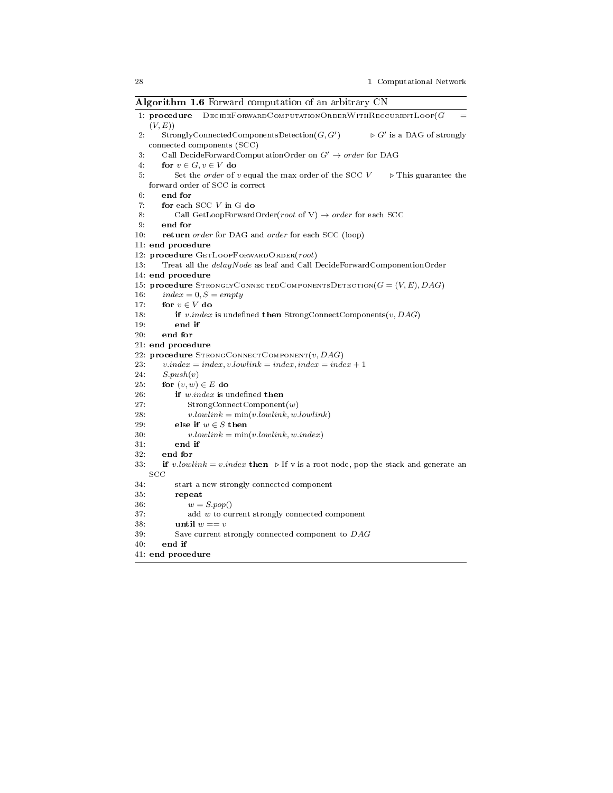Algorithm 1.6 Forward computation of an arbitrary CN

|       | --o-----<br>- --------- <i>,</i>                                                                                                         |
|-------|------------------------------------------------------------------------------------------------------------------------------------------|
|       | 1: procedure DECIDEFORWARD COMPUTATION ORDER WITH RECCURENTLOOP(G<br>(V, E))                                                             |
| 2.    | $Strongly Connected ComponentsDetection(G, G')$<br>$\triangleright$ G' is a DAG of strongly<br>connected components (SCC)                |
| $3 -$ |                                                                                                                                          |
|       | Call DecideForwardComputationOrder on $G'\to order$ for DAG                                                                              |
| 4:    | for $v \in G, v \in V$ do                                                                                                                |
| 5.    | Set the <i>order</i> of $v$ equal the max order of the SCC $V$<br>$\triangleright$ This guarantee the<br>forward order of SCC is correct |
| 6:    | end for                                                                                                                                  |
| 7:    | for each SCC V in G do                                                                                                                   |
| 8:    | Call GetLoopForwardOrder(root of V) $\rightarrow$ order for each SCC                                                                     |
| 9:    | end for                                                                                                                                  |
| 10:   | return order for DAG and order for each SCC (loop)                                                                                       |
|       | 11: end procedure                                                                                                                        |
|       | 12: procedure GETLOOPFORWARD ORDER(root)                                                                                                 |
| 13:   | Treat all the <i>delayNode</i> as leaf and Call DecideForwardComponentionOrder                                                           |
|       | 14: end procedure                                                                                                                        |
|       | 15: procedure STRONGLYCONNECTEDCOMPONENTSDETECTION( $G = (V, E), DAG$ )                                                                  |
| 16:   | $index = 0, S = empty$                                                                                                                   |
| 17:   | for $v \in V$ do                                                                                                                         |
| 18:   | if v.index is undefined then StrongConnectComponents $(v, DAG)$                                                                          |
| 19:   | end if                                                                                                                                   |
| 20:   | end for                                                                                                                                  |
|       | 21: end procedure                                                                                                                        |
|       | 22: procedure STRONGCONNECTCOMPONENT $(v, DAG)$                                                                                          |
| 23:   | $v.index = index, v.lowerlink = index, index = index + 1$                                                                                |
| 24:   | S.push(v)                                                                                                                                |
| 25.   | for $(v, w) \in E$ do                                                                                                                    |
| 26:   | if w.index is undefined then                                                                                                             |
| 27:   | StrongConnectComponent(w)                                                                                                                |
| 28:   | $v. lowlink = min(v. lowlink, w. lowlink)$                                                                                               |
| 29:   | else if $w \in S$ then                                                                                                                   |
| 30.   | $v. lowlink = min(v. lowlink, w. index)$                                                                                                 |
| 31:   | end if                                                                                                                                   |
| 32:   | end for                                                                                                                                  |
| 33.   | <b>if</b> v.lowlink = v.index then $\triangleright$ If v is a root node, pop the stack and generate an<br>SCC                            |
| 34.   | start a new strongly connected component                                                                                                 |
| 35.   | repeat                                                                                                                                   |
| 36:   | $w = S.pop()$                                                                                                                            |
| 37:   | add $w$ to current strongly connected component                                                                                          |
| 38.   | until $w == v$                                                                                                                           |
| 39:   | Save current strongly connected component to DAG                                                                                         |
| 40.   | end if                                                                                                                                   |
|       | 41: end procedure                                                                                                                        |
|       |                                                                                                                                          |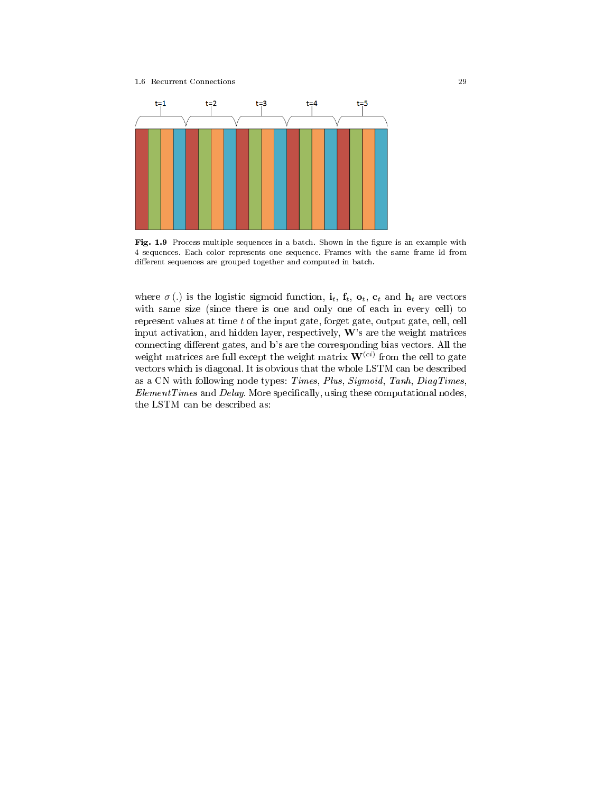#### 1.6 Recurrent Connections 29



Fig. 1.9 Process multiple sequences in a batch. Shown in the figure is an example with 4 sequences. Each color represents one sequence. Frames with the same frame id from different sequences are grouped together and computed in batch.

where  $\sigma(.)$  is the logistic sigmoid function,  $\mathbf{i}_t$ ,  $\mathbf{f}_t$ ,  $\mathbf{o}_t$ ,  $\mathbf{c}_t$  and  $\mathbf{h}_t$  are vectors with same size (since there is one and only one of each in every cell) to represent values at time  $t$  of the input gate, forget gate, output gate, cell, cell input activation, and hidden layer, respectively,  $W$ 's are the weight matrices connecting different gates, and b's are the corresponding bias vectors. All the weight matrices are full except the weight matrix  $\mathbf{W}^{(ci)}$  from the cell to gate vectors which is diagonal. It is obvious that the whole LSTM can be described as a CN with following node types: Times, Plus, Sigmoid, Tanh, DiagTimes,  $Element Times$  and  $Delay$ . More specifically, using these computational nodes, the LSTM can be described as: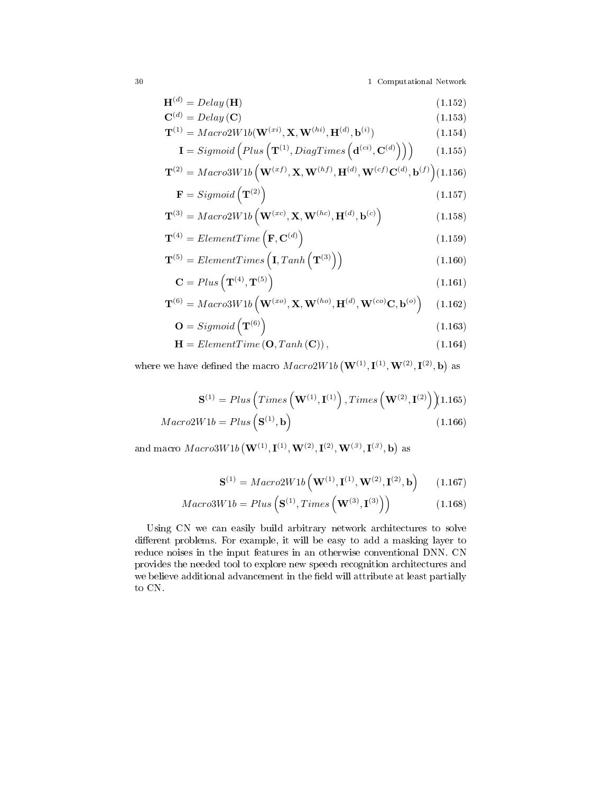$$
\mathbf{H}^{(d)} = Delay(\mathbf{H})\tag{1.152}
$$

$$
\mathbf{C}^{(d)} = Delay\left(\mathbf{C}\right) \tag{1.153}
$$

$$
\mathbf{T}^{(1)} = \operatorname{Macro2W1b}(\mathbf{W}^{(xi)}, \mathbf{X}, \mathbf{W}^{(hi)}, \mathbf{H}^{(d)}, \mathbf{b}^{(i)})
$$
(1.154)

$$
\mathbf{I} = Sigmoid\left(Plus\left(\mathbf{T}^{(1)},DiagTimes\left(\mathbf{d}^{(ci)}, \mathbf{C}^{(d)}\right)\right)\right) \tag{1.155}
$$

$$
\mathbf{T}^{(2)} = \text{Macro3W1b} \left( \mathbf{W}^{(xf)}, \mathbf{X}, \mathbf{W}^{(hf)}, \mathbf{H}^{(d)}, \mathbf{W}^{(cf)} \mathbf{C}^{(d)}, \mathbf{b}^{(f)} \right) (1.156)
$$

$$
\mathbf{F} = Sigmoid\left(\mathbf{T}^{(2)}\right) \tag{1.157}
$$

$$
\mathbf{T}^{(3)} = \operatorname{Macro2W1b} \left( \mathbf{W}^{(xc)}, \mathbf{X}, \mathbf{W}^{(hc)}, \mathbf{H}^{(d)}, \mathbf{b}^{(c)} \right) \tag{1.158}
$$

$$
\mathbf{T}^{(4)} = ElementTime\left(\mathbf{F}, \mathbf{C}^{(d)}\right) \tag{1.159}
$$

$$
\mathbf{T}^{(5)} = ElementTimes\left(\mathbf{I}, Tanh\left(\mathbf{T}^{(3)}\right)\right) \tag{1.160}
$$

$$
\mathbf{C} = Plus\left(\mathbf{T}^{(4)}, \mathbf{T}^{(5)}\right) \tag{1.161}
$$

$$
\mathbf{T}^{(6)} = \text{Macro3W1b} \left( \mathbf{W}^{(xo)}, \mathbf{X}, \mathbf{W}^{(ho)}, \mathbf{H}^{(d)}, \mathbf{W}^{(co)} \mathbf{C}, \mathbf{b}^{(o)} \right) \tag{1.162}
$$

$$
\mathbf{O} = Sigmoid\left(\mathbf{T}^{(6)}\right) \tag{1.163}
$$

$$
\mathbf{H} = ElementTime\left(\mathbf{O},Tanh\left(\mathbf{C}\right)\right),\tag{1.164}
$$

where we have defined the macro  $Macro2W1b\left(\mathbf{W}^{(1)},\mathbf{I}^{(1)},\mathbf{W}^{(2)},\mathbf{I}^{(2)},\mathbf{b}\right)$  as

$$
\mathbf{S}^{(1)} = Plus\left(Times\left(\mathbf{W}^{(1)}, \mathbf{I}^{(1)}\right), Times\left(\mathbf{W}^{(2)}, \mathbf{I}^{(2)}\right)\right)\tag{1.165}
$$

$$
Macro2W1b = Plus\left(\mathbf{S}^{(1)}, \mathbf{b}\right) \tag{1.166}
$$

and macro  $Macro3W1b\left(\mathbf{W}^{(1)}, \mathbf{I}^{(1)}, \mathbf{W}^{(2)}, \mathbf{I}^{(2)}, \mathbf{W}^{(3)}, \mathbf{I}^{(3)}, \mathbf{b}\right)$  as

$$
\mathbf{S}^{(1)} = \text{Macro2W1b} \left( \mathbf{W}^{(1)}, \mathbf{I}^{(1)}, \mathbf{W}^{(2)}, \mathbf{I}^{(2)}, \mathbf{b} \right) \tag{1.167}
$$

$$
Macro3W1b = Plus\left(\mathbf{S}^{(1)}, Times\left(\mathbf{W}^{(3)}, \mathbf{I}^{(3)}\right)\right) \tag{1.168}
$$

Using CN we can easily build arbitrary network architectures to solve different problems. For example, it will be easy to add a masking layer to reduce noises in the input features in an otherwise conventional DNN. CN provides the needed tool to explore new speech recognition architectures and we believe additional advancement in the field will attribute at least partially to CN.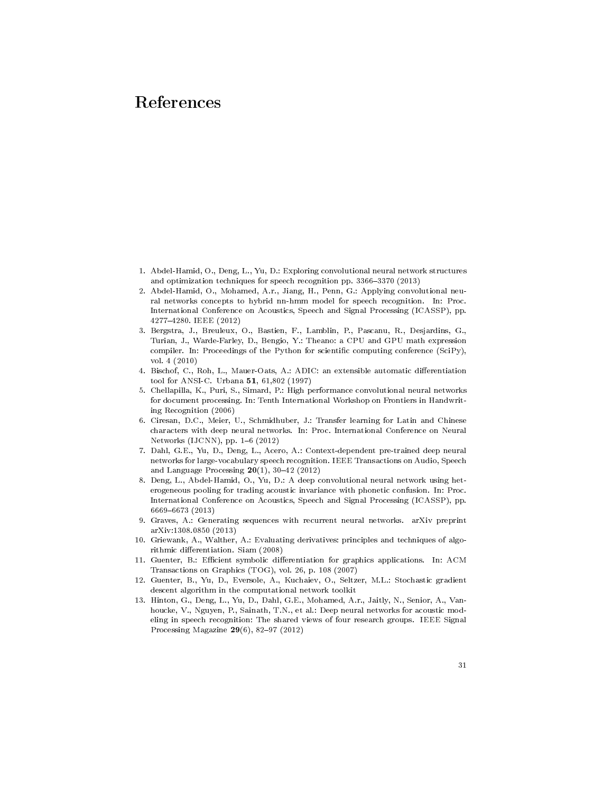# References

- 1. Abdel-Hamid, O., Deng, L., Yu, D.: Exploring convolutional neural network structures and optimization techniques for speech recognition pp. 3366-3370 (2013)
- 2. Abdel-Hamid, O., Mohamed, A.r., Jiang, H., Penn, G.: Applying convolutional neural networks concepts to hybrid nn-hmm model for speech recognition. In: Proc. International Conference on Acoustics, Speech and Signal Processing (ICASSP), pp. 42774280. IEEE (2012)
- 3. Bergstra, J., Breuleux, O., Bastien, F., Lamblin, P., Pascanu, R., Desjardins, G., Turian, J., Warde-Farley, D., Bengio, Y.: Theano: a CPU and GPU math expression compiler. In: Proceedings of the Python for scientific computing conference (SciPy), vol. 4 (2010)
- 4. Bischof, C., Roh, L., Mauer-Oats, A.: ADIC: an extensible automatic differentiation tool for ANSI-C. Urbana 51, 61,802 (1997)
- 5. Chellapilla, K., Puri, S., Simard, P.: High performance convolutional neural networks for document processing. In: Tenth International Workshop on Frontiers in Handwriting Recognition (2006)
- 6. Ciresan, D.C., Meier, U., Schmidhuber, J.: Transfer learning for Latin and Chinese characters with deep neural networks. In: Proc. International Conference on Neural Networks (IJCNN), pp.  $1-6$  (2012)
- 7. Dahl, G.E., Yu, D., Deng, L., Acero, A.: Context-dependent pre-trained deep neural networks for large-vocabulary speech recognition. IEEE Transactions on Audio, Speech and Language Processing  $20(1)$ , 30-42 (2012)
- 8. Deng, L., Abdel-Hamid, O., Yu, D.: A deep convolutional neural network using heterogeneous pooling for trading acoustic invariance with phonetic confusion. In: Proc. International Conference on Acoustics, Speech and Signal Processing (ICASSP), pp. 66696673 (2013)
- 9. Graves, A.: Generating sequences with recurrent neural networks. arXiv preprint arXiv:1308.0850 (2013)
- 10. Griewank, A., Walther, A.: Evaluating derivatives: principles and techniques of algorithmic differentiation. Siam (2008)
- 11. Guenter, B.: Efficient symbolic differentiation for graphics applications. In: ACM Transactions on Graphics (TOG), vol. 26, p. 108 (2007)
- 12. Guenter, B., Yu, D., Eversole, A., Kuchaiev, O., Seltzer, M.L.: Stochastic gradient descent algorithm in the computational network toolkit
- 13. Hinton, G., Deng, L., Yu, D., Dahl, G.E., Mohamed, A.r., Jaitly, N., Senior, A., Vanhoucke, V., Nguyen, P., Sainath, T.N., et al.: Deep neural networks for acoustic modeling in speech recognition: The shared views of four research groups. IEEE Signal Processing Magazine  $29(6)$ , 82-97 (2012)